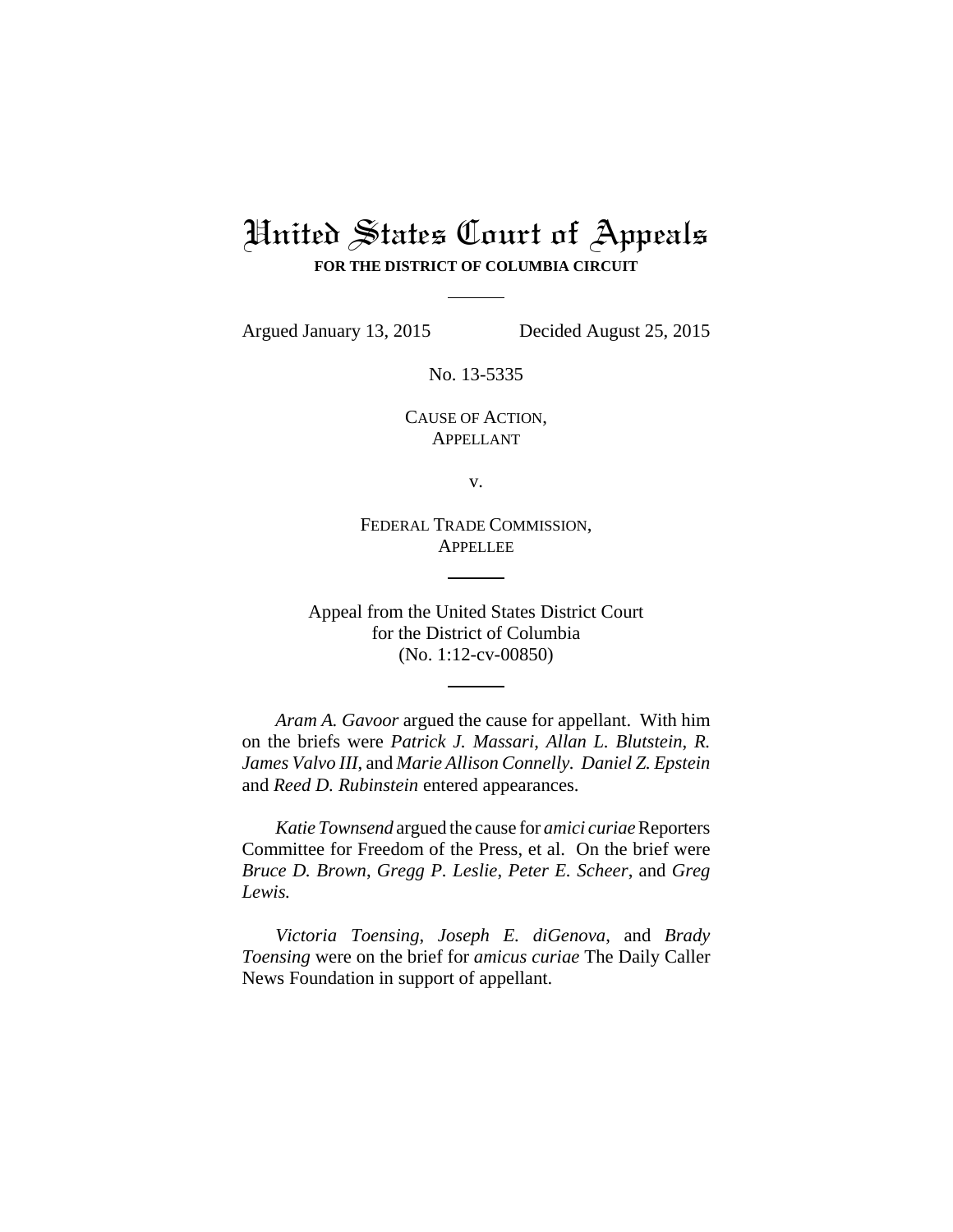# United States Court of Appeals **FOR THE DISTRICT OF COLUMBIA CIRCUIT**

Argued January 13, 2015 Decided August 25, 2015

No. 13-5335

CAUSE OF ACTION, APPELLANT

v.

FEDERAL TRADE COMMISSION, **APPELLEE** 

Appeal from the United States District Court for the District of Columbia (No. 1:12-cv-00850)

*Aram A. Gavoor* argued the cause for appellant. With him on the briefs were *Patrick J. Massari*, *Allan L. Blutstein*, *R. James Valvo III*, and *Marie Allison Connelly. Daniel Z. Epstein* and *Reed D. Rubinstein* entered appearances.

*Katie Townsend* argued the cause for *amici curiae* Reporters Committee for Freedom of the Press, et al. On the brief were *Bruce D. Brown*, *Gregg P. Leslie*, *Peter E. Scheer*, and *Greg Lewis.*

*Victoria Toensing*, *Joseph E. diGenova*, and *Brady Toensing* were on the brief for *amicus curiae* The Daily Caller News Foundation in support of appellant.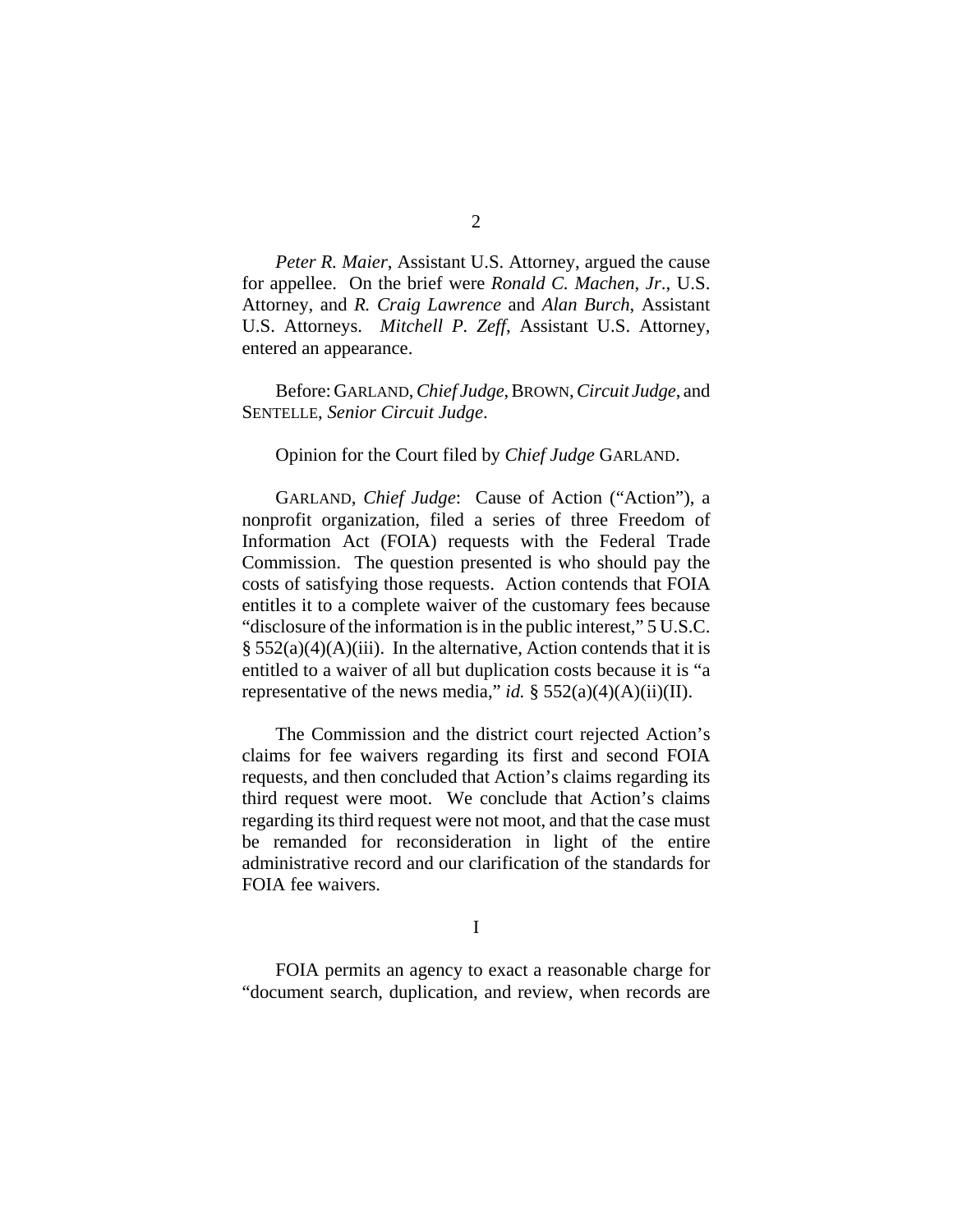*Peter R. Maier*, Assistant U.S. Attorney, argued the cause for appellee. On the brief were *Ronald C. Machen*, *Jr*., U.S. Attorney, and *R. Craig Lawrence* and *Alan Burch*, Assistant U.S. Attorneys. *Mitchell P. Zeff*, Assistant U.S. Attorney, entered an appearance.

Before: GARLAND, *Chief Judge*, BROWN, *Circuit Judge*, and SENTELLE, *Senior Circuit Judge*.

Opinion for the Court filed by *Chief Judge* GARLAND.

GARLAND, *Chief Judge*: Cause of Action ("Action"), a nonprofit organization, filed a series of three Freedom of Information Act (FOIA) requests with the Federal Trade Commission. The question presented is who should pay the costs of satisfying those requests. Action contends that FOIA entitles it to a complete waiver of the customary fees because "disclosure of the information is in the public interest," 5 U.S.C.  $§ 552(a)(4)(A)(iii)$ . In the alternative, Action contends that it is entitled to a waiver of all but duplication costs because it is "a representative of the news media," *id.*  $\S$  552(a)(4)(A)(ii)(II).

The Commission and the district court rejected Action's claims for fee waivers regarding its first and second FOIA requests, and then concluded that Action's claims regarding its third request were moot. We conclude that Action's claims regarding its third request were not moot, and that the case must be remanded for reconsideration in light of the entire administrative record and our clarification of the standards for FOIA fee waivers.

I

FOIA permits an agency to exact a reasonable charge for "document search, duplication, and review, when records are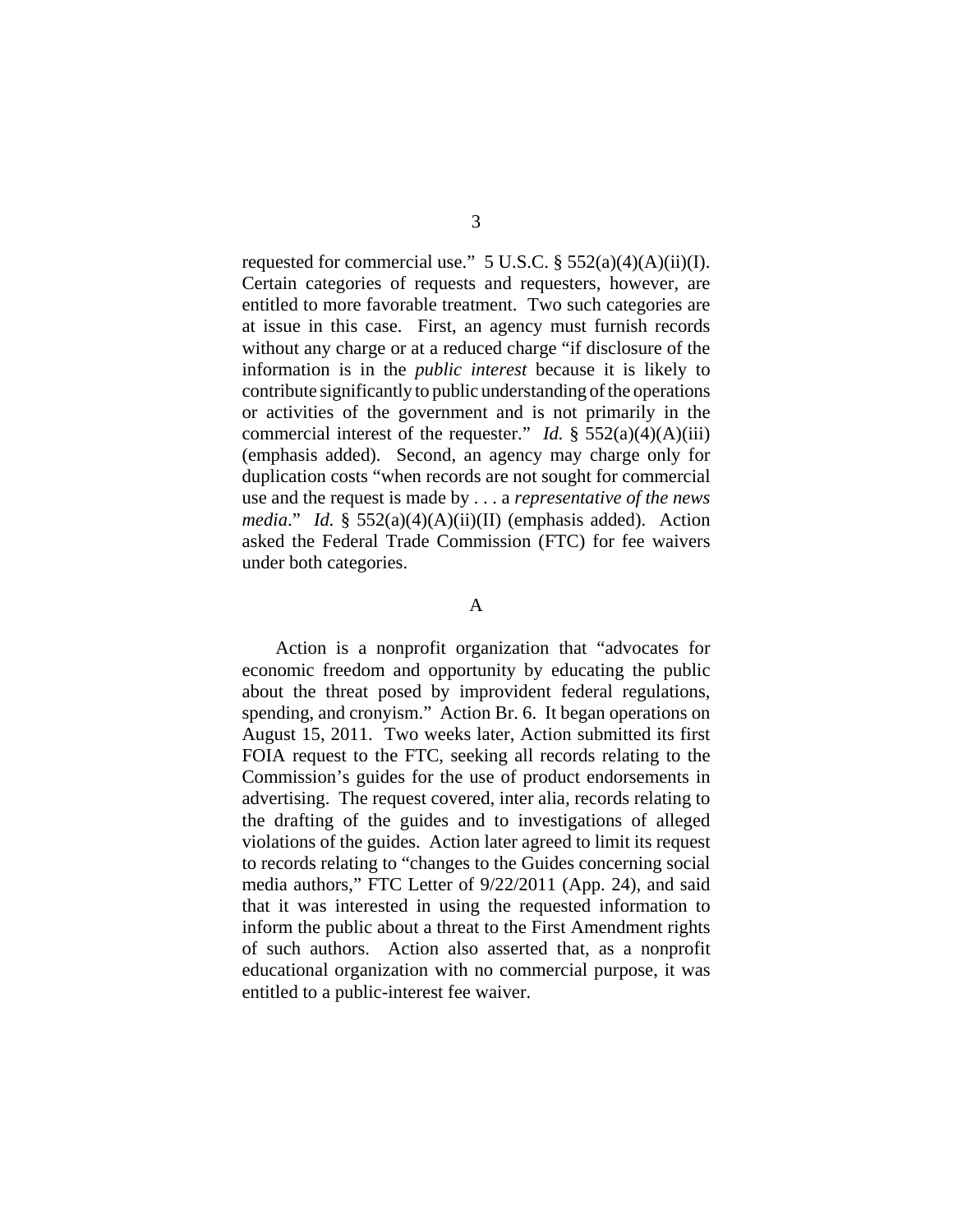requested for commercial use."  $5$  U.S.C.  $\S$   $552(a)(4)(A)(ii)(I)$ . Certain categories of requests and requesters, however, are entitled to more favorable treatment. Two such categories are at issue in this case. First, an agency must furnish records without any charge or at a reduced charge "if disclosure of the information is in the *public interest* because it is likely to contribute significantly to public understanding of the operations or activities of the government and is not primarily in the commercial interest of the requester." *Id.*  $\S$  552(a)(4)(A)(iii) (emphasis added). Second, an agency may charge only for duplication costs "when records are not sought for commercial use and the request is made by . . . a *representative of the news media*." *Id.* § 552(a)(4)(A)(ii)(II) (emphasis added). Action asked the Federal Trade Commission (FTC) for fee waivers under both categories.

#### A

Action is a nonprofit organization that "advocates for economic freedom and opportunity by educating the public about the threat posed by improvident federal regulations, spending, and cronyism." Action Br. 6. It began operations on August 15, 2011. Two weeks later, Action submitted its first FOIA request to the FTC, seeking all records relating to the Commission's guides for the use of product endorsements in advertising. The request covered, inter alia, records relating to the drafting of the guides and to investigations of alleged violations of the guides. Action later agreed to limit its request to records relating to "changes to the Guides concerning social media authors," FTC Letter of 9/22/2011 (App. 24), and said that it was interested in using the requested information to inform the public about a threat to the First Amendment rights of such authors. Action also asserted that, as a nonprofit educational organization with no commercial purpose, it was entitled to a public-interest fee waiver.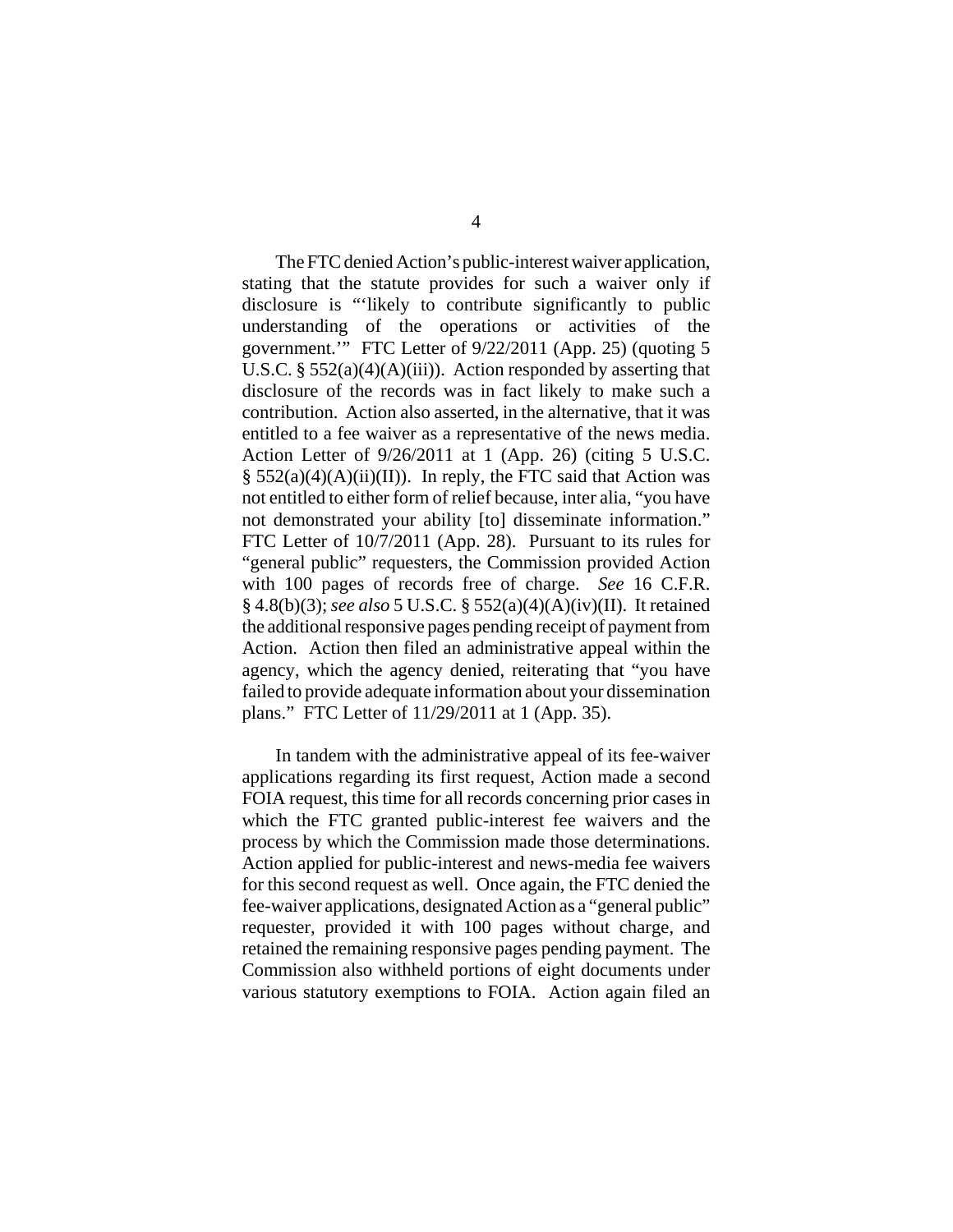The FTC denied Action's public-interest waiver application, stating that the statute provides for such a waiver only if disclosure is "'likely to contribute significantly to public understanding of the operations or activities of the government.'" FTC Letter of 9/22/2011 (App. 25) (quoting 5 U.S.C.  $\S$  552(a)(4)(A)(iii)). Action responded by asserting that disclosure of the records was in fact likely to make such a contribution. Action also asserted, in the alternative, that it was entitled to a fee waiver as a representative of the news media. Action Letter of 9/26/2011 at 1 (App. 26) (citing 5 U.S.C.  $\S$  552(a)(4)(A)(ii)(II)). In reply, the FTC said that Action was not entitled to either form of relief because, inter alia, "you have not demonstrated your ability [to] disseminate information." FTC Letter of 10/7/2011 (App. 28). Pursuant to its rules for "general public" requesters, the Commission provided Action with 100 pages of records free of charge. *See* 16 C.F.R. § 4.8(b)(3); *see also* 5 U.S.C. § 552(a)(4)(A)(iv)(II). It retained the additional responsive pages pending receipt of payment from Action. Action then filed an administrative appeal within the agency, which the agency denied, reiterating that "you have failed to provide adequate information about your dissemination plans." FTC Letter of 11/29/2011 at 1 (App. 35).

In tandem with the administrative appeal of its fee-waiver applications regarding its first request, Action made a second FOIA request, this time for all records concerning prior cases in which the FTC granted public-interest fee waivers and the process by which the Commission made those determinations. Action applied for public-interest and news-media fee waivers for this second request as well. Once again, the FTC denied the fee-waiver applications, designated Action as a "general public" requester, provided it with 100 pages without charge, and retained the remaining responsive pages pending payment. The Commission also withheld portions of eight documents under various statutory exemptions to FOIA. Action again filed an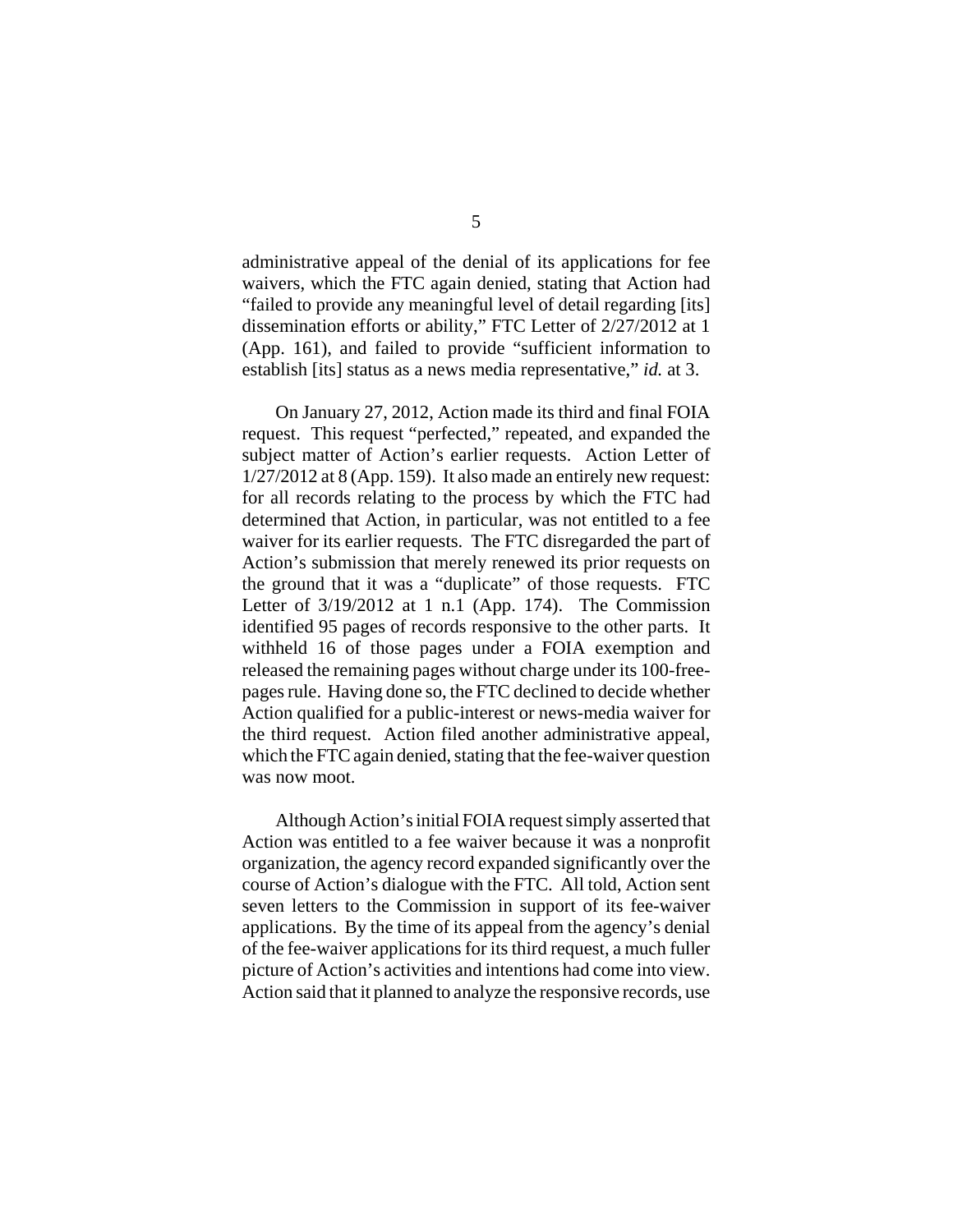administrative appeal of the denial of its applications for fee waivers, which the FTC again denied, stating that Action had "failed to provide any meaningful level of detail regarding [its] dissemination efforts or ability," FTC Letter of 2/27/2012 at 1 (App. 161), and failed to provide "sufficient information to establish [its] status as a news media representative," *id.* at 3.

On January 27, 2012, Action made its third and final FOIA request. This request "perfected," repeated, and expanded the subject matter of Action's earlier requests. Action Letter of 1/27/2012 at 8 (App. 159). It also made an entirely new request: for all records relating to the process by which the FTC had determined that Action, in particular, was not entitled to a fee waiver for its earlier requests. The FTC disregarded the part of Action's submission that merely renewed its prior requests on the ground that it was a "duplicate" of those requests. FTC Letter of  $3/19/2012$  at 1 n.1 (App. 174). The Commission identified 95 pages of records responsive to the other parts. It withheld 16 of those pages under a FOIA exemption and released the remaining pages without charge under its 100-freepages rule. Having done so, the FTC declined to decide whether Action qualified for a public-interest or news-media waiver for the third request. Action filed another administrative appeal, which the FTC again denied, stating that the fee-waiver question was now moot.

Although Action's initial FOIA request simply asserted that Action was entitled to a fee waiver because it was a nonprofit organization, the agency record expanded significantly over the course of Action's dialogue with the FTC. All told, Action sent seven letters to the Commission in support of its fee-waiver applications. By the time of its appeal from the agency's denial of the fee-waiver applications for its third request, a much fuller picture of Action's activities and intentions had come into view. Action said that it planned to analyze the responsive records, use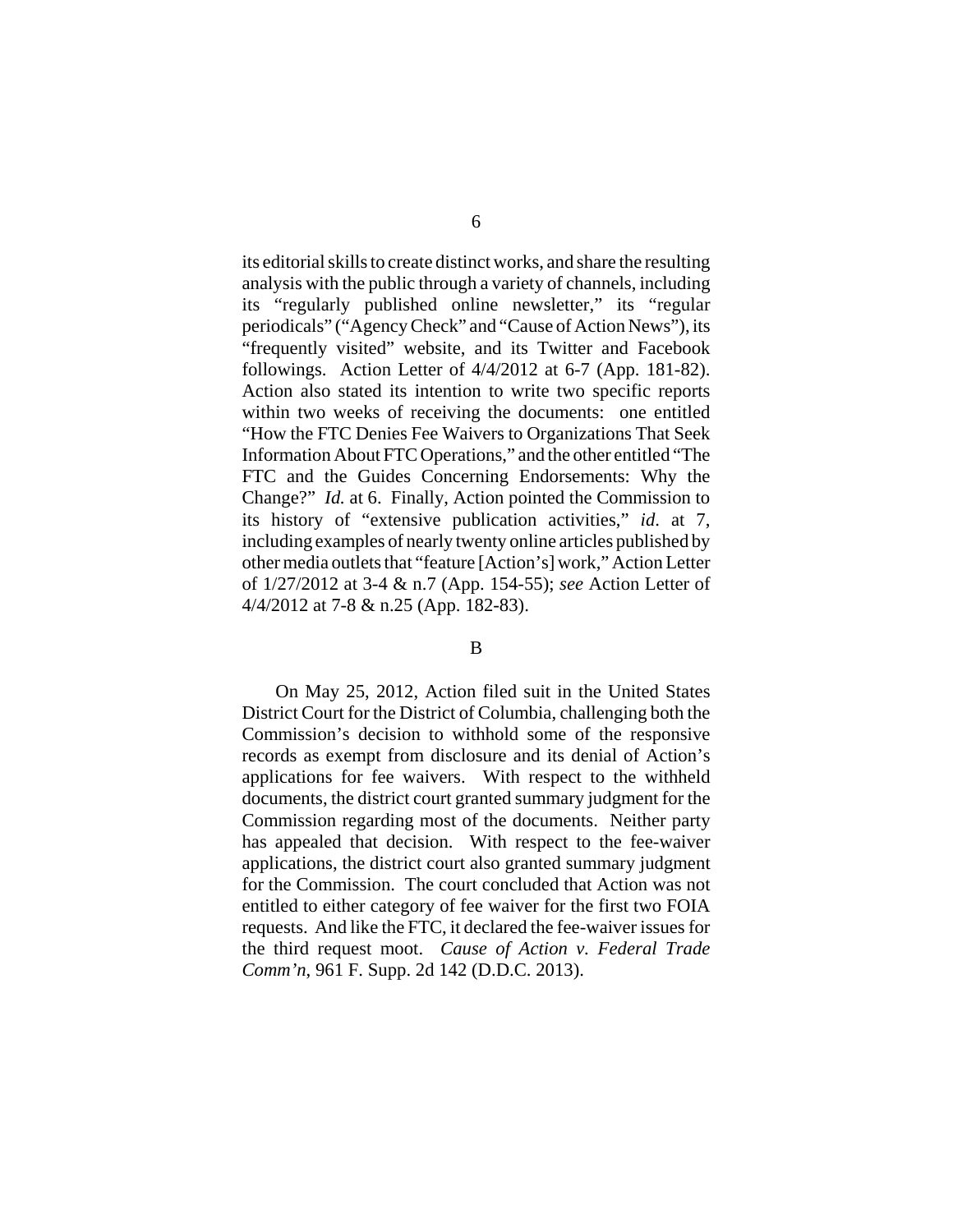its editorial skills to create distinct works, and share the resulting analysis with the public through a variety of channels, including its "regularly published online newsletter," its "regular periodicals" ("Agency Check" and "Cause of Action News"), its "frequently visited" website, and its Twitter and Facebook followings. Action Letter of 4/4/2012 at 6-7 (App. 181-82). Action also stated its intention to write two specific reports within two weeks of receiving the documents: one entitled "How the FTC Denies Fee Waivers to Organizations That Seek Information About FTC Operations," and the other entitled "The FTC and the Guides Concerning Endorsements: Why the Change?" *Id.* at 6. Finally, Action pointed the Commission to its history of "extensive publication activities," *id*. at 7, including examples of nearly twenty online articles published by other media outlets that "feature [Action's] work," Action Letter of 1/27/2012 at 3-4 & n.7 (App. 154-55); *see* Action Letter of 4/4/2012 at 7-8 & n.25 (App. 182-83).

#### B

On May 25, 2012, Action filed suit in the United States District Court for the District of Columbia, challenging both the Commission's decision to withhold some of the responsive records as exempt from disclosure and its denial of Action's applications for fee waivers. With respect to the withheld documents, the district court granted summary judgment for the Commission regarding most of the documents. Neither party has appealed that decision. With respect to the fee-waiver applications, the district court also granted summary judgment for the Commission. The court concluded that Action was not entitled to either category of fee waiver for the first two FOIA requests. And like the FTC, it declared the fee-waiver issues for the third request moot. *Cause of Action v. Federal Trade Comm'n*, 961 F. Supp. 2d 142 (D.D.C. 2013).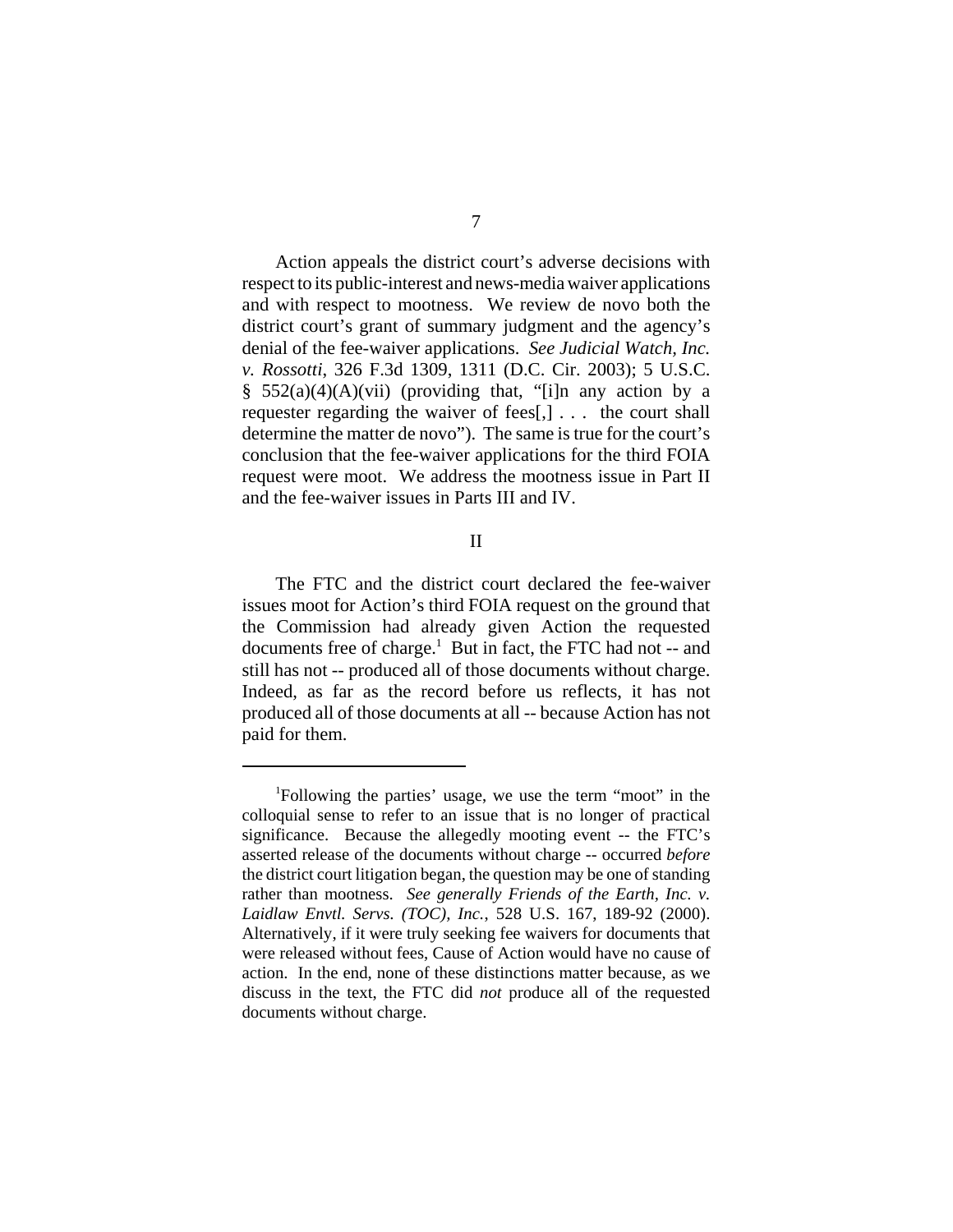Action appeals the district court's adverse decisions with respect to its public-interest and news-media waiver applications and with respect to mootness. We review de novo both the district court's grant of summary judgment and the agency's denial of the fee-waiver applications. *See Judicial Watch, Inc. v. Rossotti*, 326 F.3d 1309, 1311 (D.C. Cir. 2003); 5 U.S.C. §  $552(a)(4)(A)(vii)$  (providing that, "[i]n any action by a requester regarding the waiver of fees[,] . . . the court shall determine the matter de novo"). The same is true for the court's conclusion that the fee-waiver applications for the third FOIA request were moot. We address the mootness issue in Part II and the fee-waiver issues in Parts III and IV.

#### II

The FTC and the district court declared the fee-waiver issues moot for Action's third FOIA request on the ground that the Commission had already given Action the requested documents free of charge.<sup>1</sup> But in fact, the FTC had not -- and still has not -- produced all of those documents without charge. Indeed, as far as the record before us reflects, it has not produced all of those documents at all -- because Action has not paid for them.

<sup>1</sup> Following the parties' usage, we use the term "moot" in the colloquial sense to refer to an issue that is no longer of practical significance. Because the allegedly mooting event -- the FTC's asserted release of the documents without charge -- occurred *before* the district court litigation began, the question may be one of standing rather than mootness. *See generally Friends of the Earth, Inc. v. Laidlaw Envtl. Servs. (TOC), Inc.*, 528 U.S. 167, 189-92 (2000). Alternatively, if it were truly seeking fee waivers for documents that were released without fees, Cause of Action would have no cause of action. In the end, none of these distinctions matter because, as we discuss in the text, the FTC did *not* produce all of the requested documents without charge.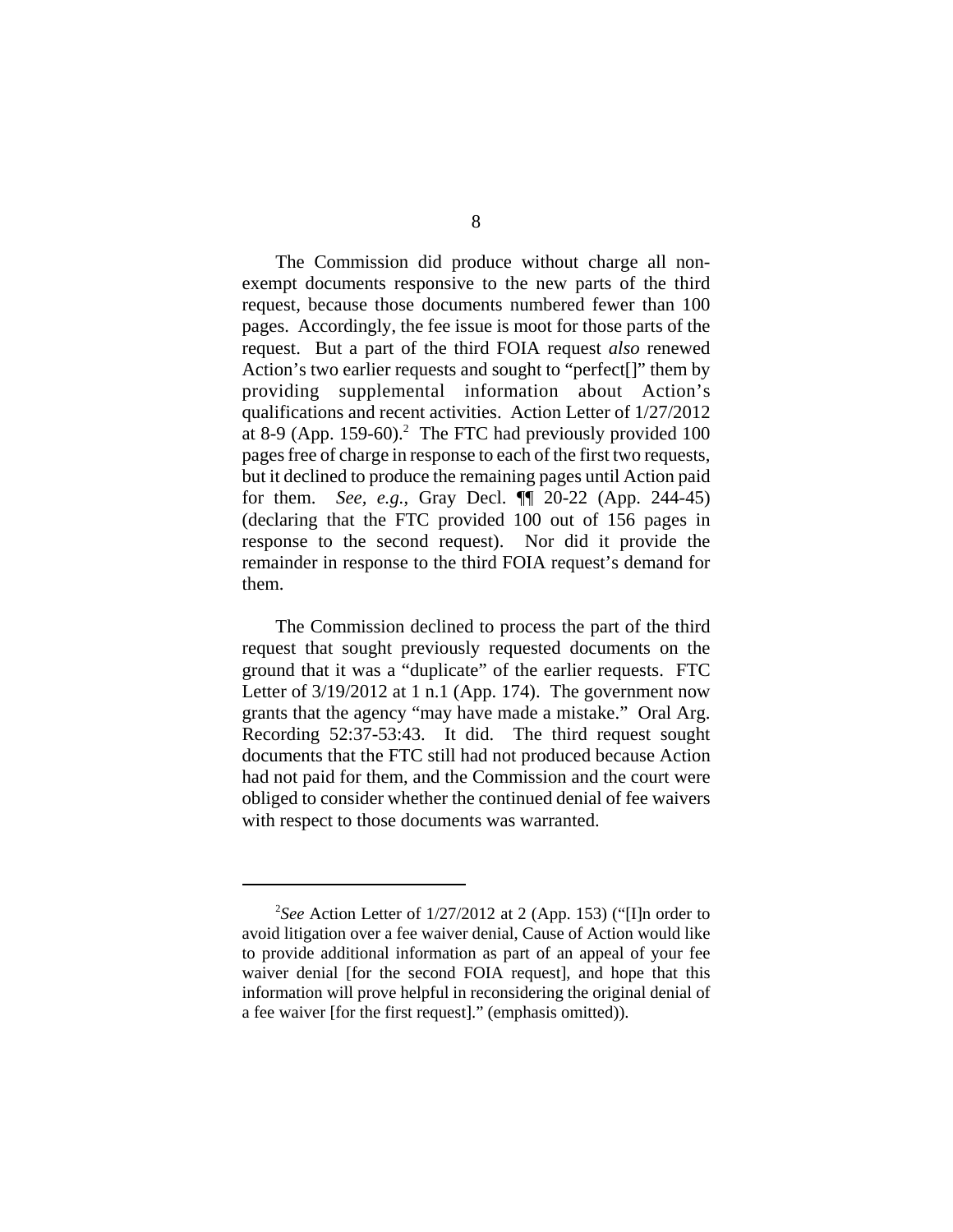The Commission did produce without charge all nonexempt documents responsive to the new parts of the third request, because those documents numbered fewer than 100 pages. Accordingly, the fee issue is moot for those parts of the request. But a part of the third FOIA request *also* renewed Action's two earlier requests and sought to "perfect[]" them by providing supplemental information about Action's qualifications and recent activities. Action Letter of 1/27/2012 at 8-9 (App. 159-60).<sup>2</sup> The FTC had previously provided 100 pages free of charge in response to each of the first two requests, but it declined to produce the remaining pages until Action paid for them. *See, e.g.*, Gray Decl. ¶¶ 20-22 (App. 244-45) (declaring that the FTC provided 100 out of 156 pages in response to the second request). Nor did it provide the remainder in response to the third FOIA request's demand for them.

The Commission declined to process the part of the third request that sought previously requested documents on the ground that it was a "duplicate" of the earlier requests. FTC Letter of  $3/19/2012$  at 1 n.1 (App. 174). The government now grants that the agency "may have made a mistake." Oral Arg. Recording 52:37-53:43. It did. The third request sought documents that the FTC still had not produced because Action had not paid for them, and the Commission and the court were obliged to consider whether the continued denial of fee waivers with respect to those documents was warranted.

<sup>2</sup> *See* Action Letter of 1/27/2012 at 2 (App. 153) ("[I]n order to avoid litigation over a fee waiver denial, Cause of Action would like to provide additional information as part of an appeal of your fee waiver denial [for the second FOIA request], and hope that this information will prove helpful in reconsidering the original denial of a fee waiver [for the first request]." (emphasis omitted)).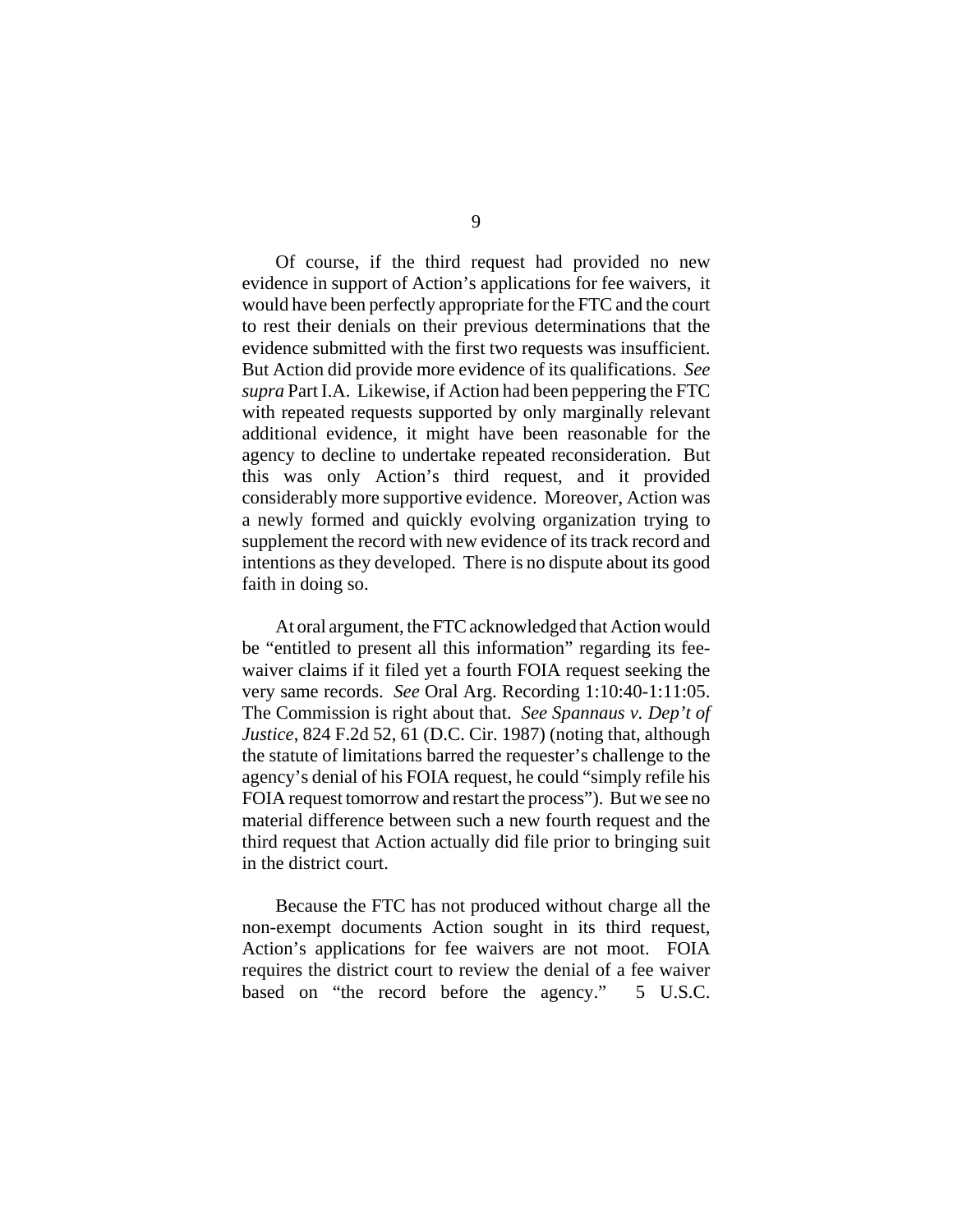Of course, if the third request had provided no new evidence in support of Action's applications for fee waivers, it would have been perfectly appropriate for the FTC and the court to rest their denials on their previous determinations that the evidence submitted with the first two requests was insufficient. But Action did provide more evidence of its qualifications. *See supra* Part I.A. Likewise, if Action had been peppering the FTC with repeated requests supported by only marginally relevant additional evidence, it might have been reasonable for the agency to decline to undertake repeated reconsideration. But this was only Action's third request, and it provided considerably more supportive evidence. Moreover, Action was a newly formed and quickly evolving organization trying to supplement the record with new evidence of its track record and intentions as they developed. There is no dispute about its good faith in doing so.

At oral argument, the FTC acknowledged that Action would be "entitled to present all this information" regarding its feewaiver claims if it filed yet a fourth FOIA request seeking the very same records. *See* Oral Arg. Recording 1:10:40-1:11:05. The Commission is right about that. *See Spannaus v. Dep't of Justice*, 824 F.2d 52, 61 (D.C. Cir. 1987) (noting that, although the statute of limitations barred the requester's challenge to the agency's denial of his FOIA request, he could "simply refile his FOIA request tomorrow and restart the process"). But we see no material difference between such a new fourth request and the third request that Action actually did file prior to bringing suit in the district court.

Because the FTC has not produced without charge all the non-exempt documents Action sought in its third request, Action's applications for fee waivers are not moot. FOIA requires the district court to review the denial of a fee waiver based on "the record before the agency." 5 U.S.C.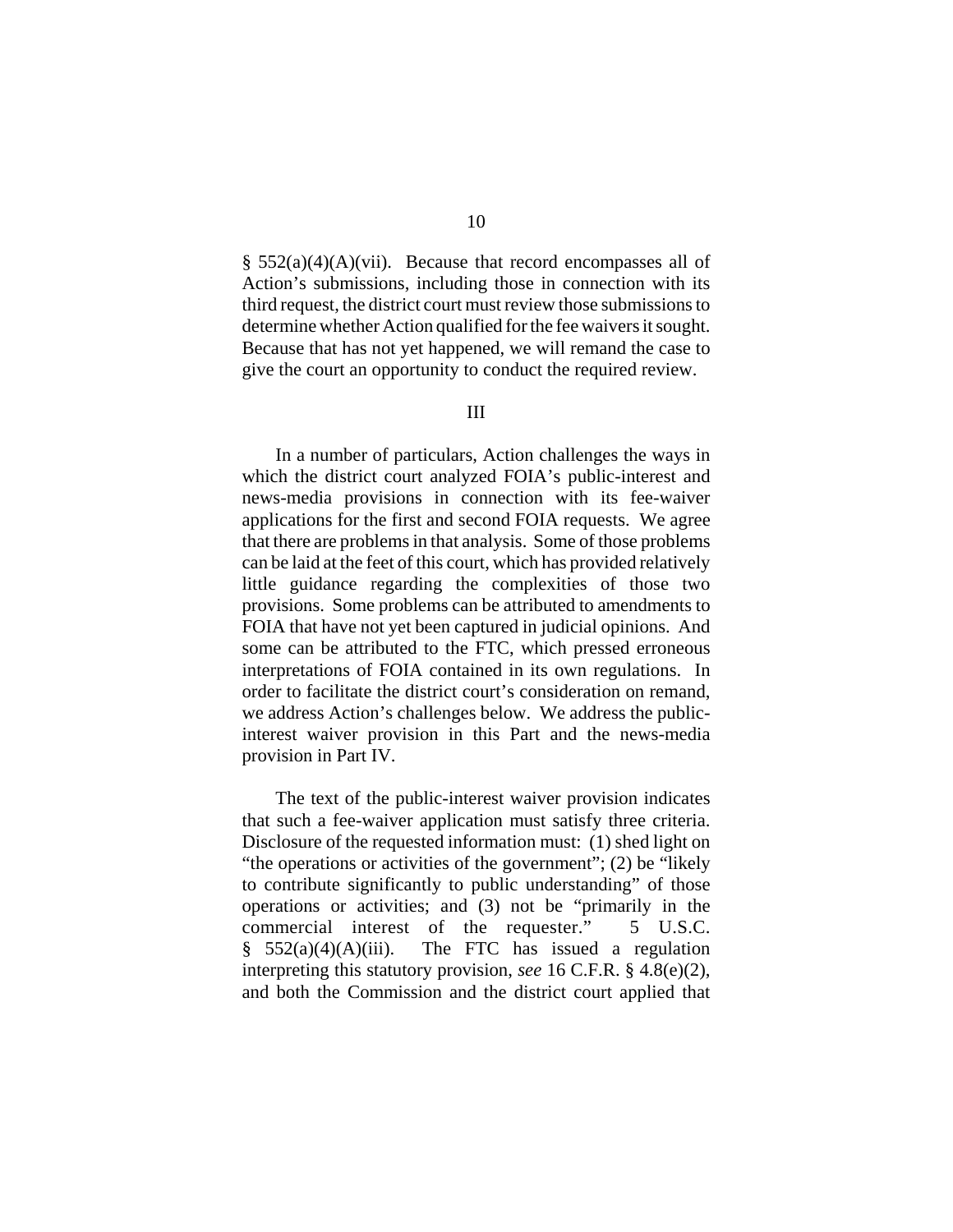$\S$  552(a)(4)(A)(vii). Because that record encompasses all of Action's submissions, including those in connection with its third request, the district court must review those submissions to determine whether Action qualified for the fee waivers it sought. Because that has not yet happened, we will remand the case to give the court an opportunity to conduct the required review.

#### III

In a number of particulars, Action challenges the ways in which the district court analyzed FOIA's public-interest and news-media provisions in connection with its fee-waiver applications for the first and second FOIA requests. We agree that there are problems in that analysis. Some of those problems can be laid at the feet of this court, which has provided relatively little guidance regarding the complexities of those two provisions. Some problems can be attributed to amendments to FOIA that have not yet been captured in judicial opinions. And some can be attributed to the FTC, which pressed erroneous interpretations of FOIA contained in its own regulations. In order to facilitate the district court's consideration on remand, we address Action's challenges below. We address the publicinterest waiver provision in this Part and the news-media provision in Part IV.

The text of the public-interest waiver provision indicates that such a fee-waiver application must satisfy three criteria. Disclosure of the requested information must: (1) shed light on "the operations or activities of the government"; (2) be "likely to contribute significantly to public understanding" of those operations or activities; and (3) not be "primarily in the commercial interest of the requester." 5 U.S.C.  $§$  552(a)(4)(A)(iii). The FTC has issued a regulation interpreting this statutory provision, *see* 16 C.F.R. § 4.8(e)(2), and both the Commission and the district court applied that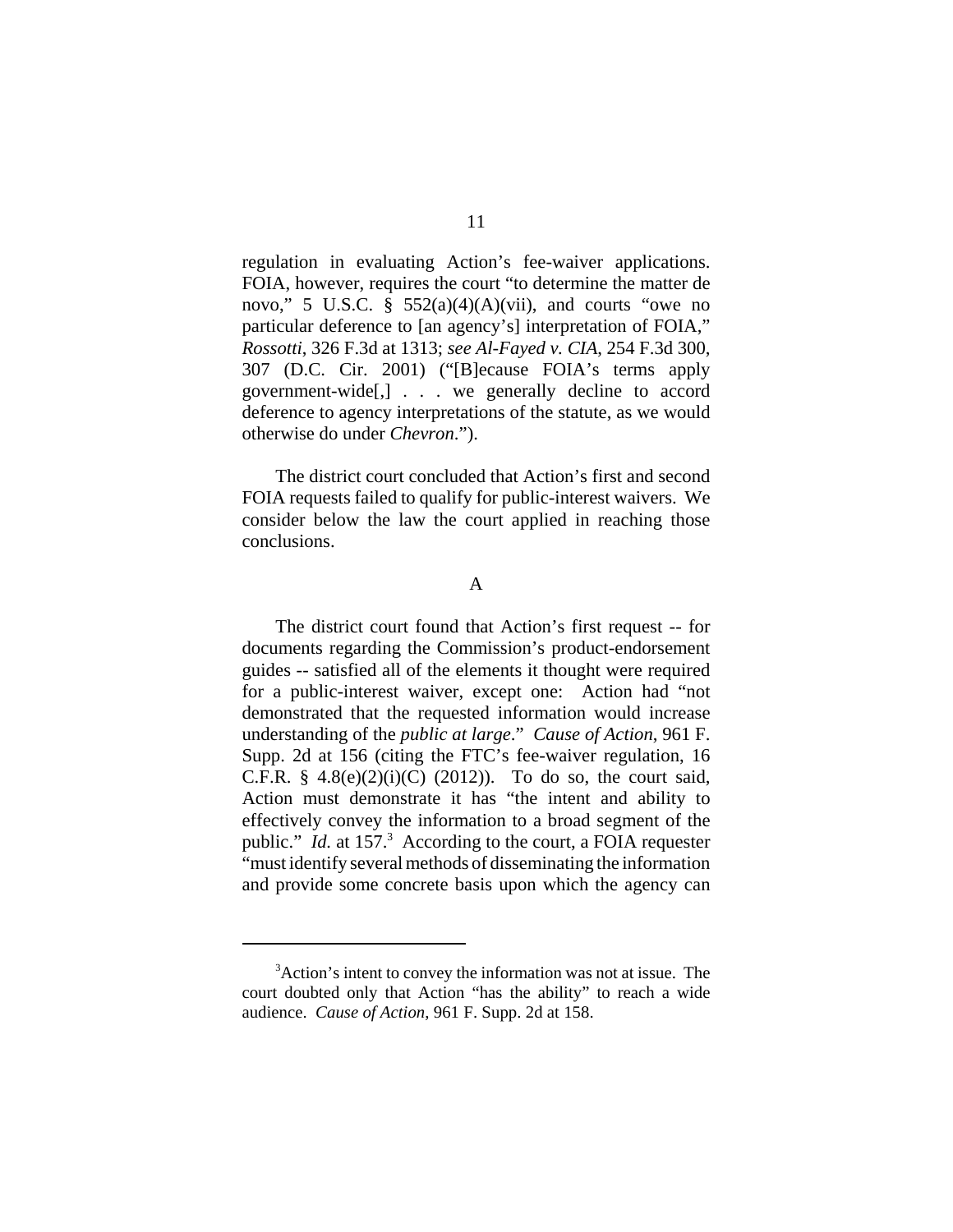regulation in evaluating Action's fee-waiver applications. FOIA, however, requires the court "to determine the matter de novo," 5 U.S.C.  $\frac{8}{9}$  552(a)(4)(A)(vii), and courts "owe no particular deference to [an agency's] interpretation of FOIA," *Rossotti*, 326 F.3d at 1313; *see Al-Fayed v. CIA*, 254 F.3d 300, 307 (D.C. Cir. 2001) ("[B]ecause FOIA's terms apply government-wide[,] . . . we generally decline to accord deference to agency interpretations of the statute, as we would otherwise do under *Chevron*.").

The district court concluded that Action's first and second FOIA requests failed to qualify for public-interest waivers. We consider below the law the court applied in reaching those conclusions.

# A

The district court found that Action's first request -- for documents regarding the Commission's product-endorsement guides -- satisfied all of the elements it thought were required for a public-interest waiver, except one: Action had "not demonstrated that the requested information would increase understanding of the *public at large*." *Cause of Action*, 961 F. Supp. 2d at 156 (citing the FTC's fee-waiver regulation, 16 C.F.R.  $§$  4.8(e)(2)(i)(C) (2012)). To do so, the court said, Action must demonstrate it has "the intent and ability to effectively convey the information to a broad segment of the public." *Id.* at 157.<sup>3</sup> According to the court, a FOIA requester "must identify several methods of disseminating the information and provide some concrete basis upon which the agency can

<sup>&</sup>lt;sup>3</sup> Action's intent to convey the information was not at issue. The court doubted only that Action "has the ability" to reach a wide audience. *Cause of Action*, 961 F. Supp. 2d at 158.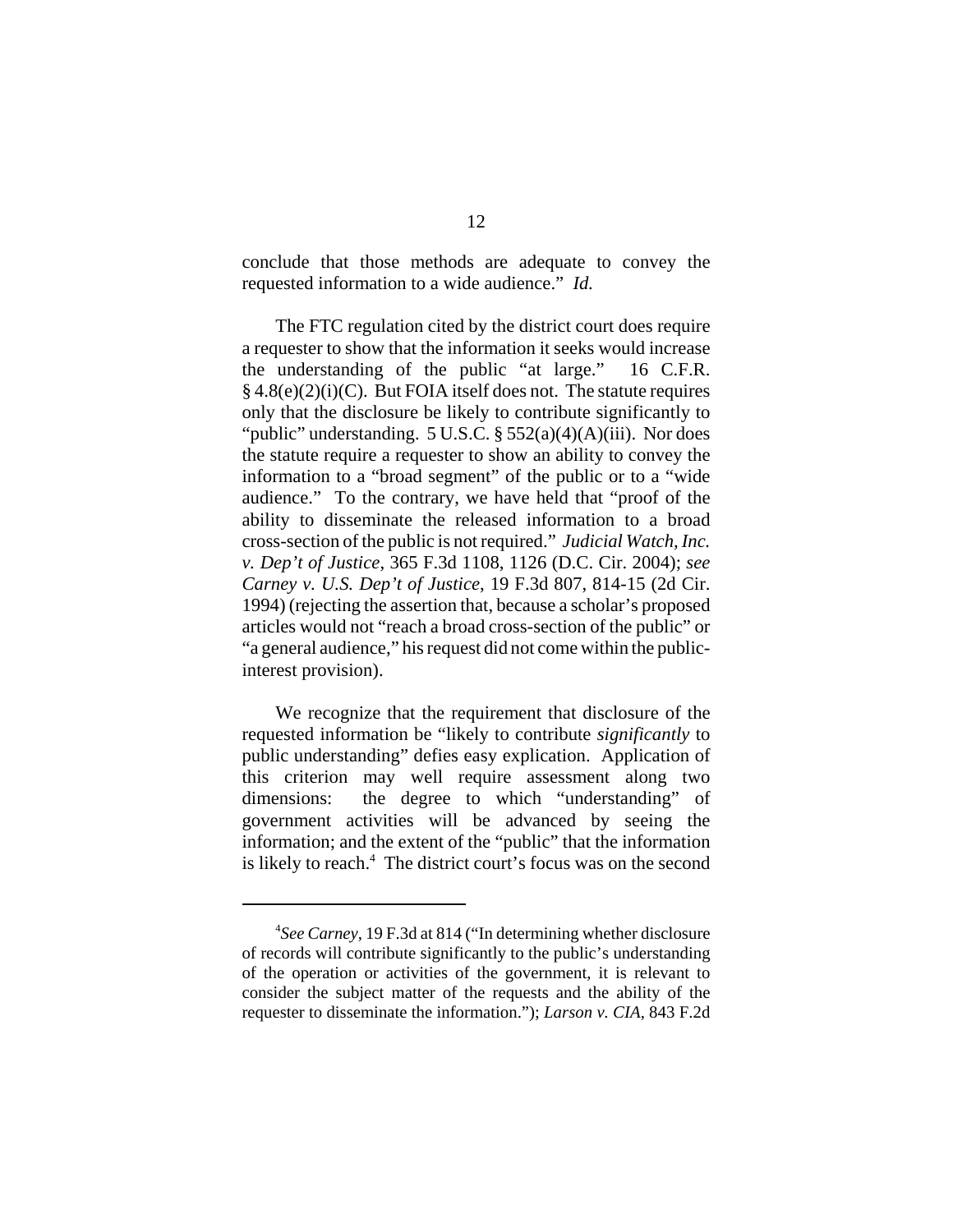conclude that those methods are adequate to convey the requested information to a wide audience." *Id.*

The FTC regulation cited by the district court does require a requester to show that the information it seeks would increase the understanding of the public "at large." 16 C.F.R. § 4.8(e)(2)(i)(C). But FOIA itself does not. The statute requires only that the disclosure be likely to contribute significantly to "public" understanding.  $5 \text{ U.S.C.}$   $\S 552(a)(4)(A)(iii)$ . Nor does the statute require a requester to show an ability to convey the information to a "broad segment" of the public or to a "wide audience." To the contrary, we have held that "proof of the ability to disseminate the released information to a broad cross-section of the public is not required." *Judicial Watch, Inc. v. Dep't of Justice*, 365 F.3d 1108, 1126 (D.C. Cir. 2004); *see Carney v. U.S. Dep't of Justice*, 19 F.3d 807, 814-15 (2d Cir. 1994) (rejecting the assertion that, because a scholar's proposed articles would not "reach a broad cross-section of the public" or "a general audience," his request did not come within the publicinterest provision).

We recognize that the requirement that disclosure of the requested information be "likely to contribute *significantly* to public understanding" defies easy explication. Application of this criterion may well require assessment along two dimensions: the degree to which "understanding" of government activities will be advanced by seeing the information; and the extent of the "public" that the information is likely to reach.<sup>4</sup> The district court's focus was on the second

<sup>4</sup> *See Carney*, 19 F.3d at 814 ("In determining whether disclosure of records will contribute significantly to the public's understanding of the operation or activities of the government, it is relevant to consider the subject matter of the requests and the ability of the requester to disseminate the information."); *Larson v. CIA*, 843 F.2d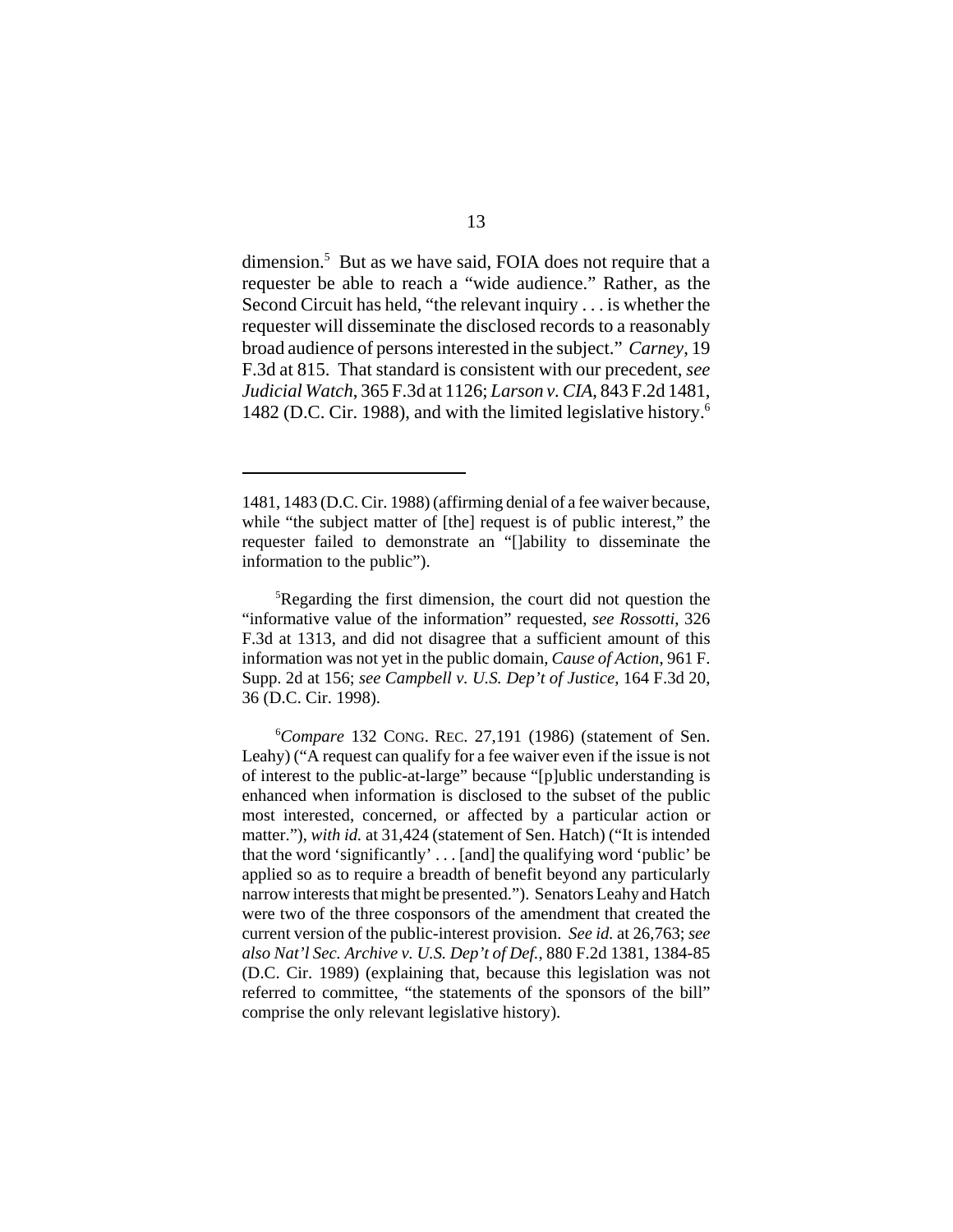dimension.<sup>5</sup> But as we have said, FOIA does not require that a requester be able to reach a "wide audience." Rather, as the Second Circuit has held, "the relevant inquiry . . . is whether the requester will disseminate the disclosed records to a reasonably broad audience of persons interested in the subject." *Carney*, 19 F.3d at 815. That standard is consistent with our precedent, *see Judicial Watch*, 365 F.3d at 1126; *Larson v. CIA*, 843 F.2d 1481, 1482 (D.C. Cir. 1988), and with the limited legislative history.6

<sup>1481, 1483 (</sup>D.C. Cir. 1988) (affirming denial of a fee waiver because, while "the subject matter of [the] request is of public interest," the requester failed to demonstrate an "[]ability to disseminate the information to the public").

<sup>&</sup>lt;sup>5</sup>Regarding the first dimension, the court did not question the "informative value of the information" requested, *see Rossotti*, 326 F.3d at 1313, and did not disagree that a sufficient amount of this information was not yet in the public domain, *Cause of Action*, 961 F. Supp. 2d at 156; *see Campbell v. U.S. Dep't of Justice*, 164 F.3d 20, 36 (D.C. Cir. 1998).

<sup>6</sup> *Compare* 132 CONG. REC. 27,191 (1986) (statement of Sen. Leahy) ("A request can qualify for a fee waiver even if the issue is not of interest to the public-at-large" because "[p]ublic understanding is enhanced when information is disclosed to the subset of the public most interested, concerned, or affected by a particular action or matter."), *with id.* at 31,424 (statement of Sen. Hatch) ("It is intended that the word 'significantly' . . . [and] the qualifying word 'public' be applied so as to require a breadth of benefit beyond any particularly narrow interests that might be presented."). Senators Leahy and Hatch were two of the three cosponsors of the amendment that created the current version of the public-interest provision. *See id.* at 26,763; *see also Nat'l Sec. Archive v. U.S. Dep't of Def.*, 880 F.2d 1381, 1384-85 (D.C. Cir. 1989) (explaining that, because this legislation was not referred to committee, "the statements of the sponsors of the bill" comprise the only relevant legislative history).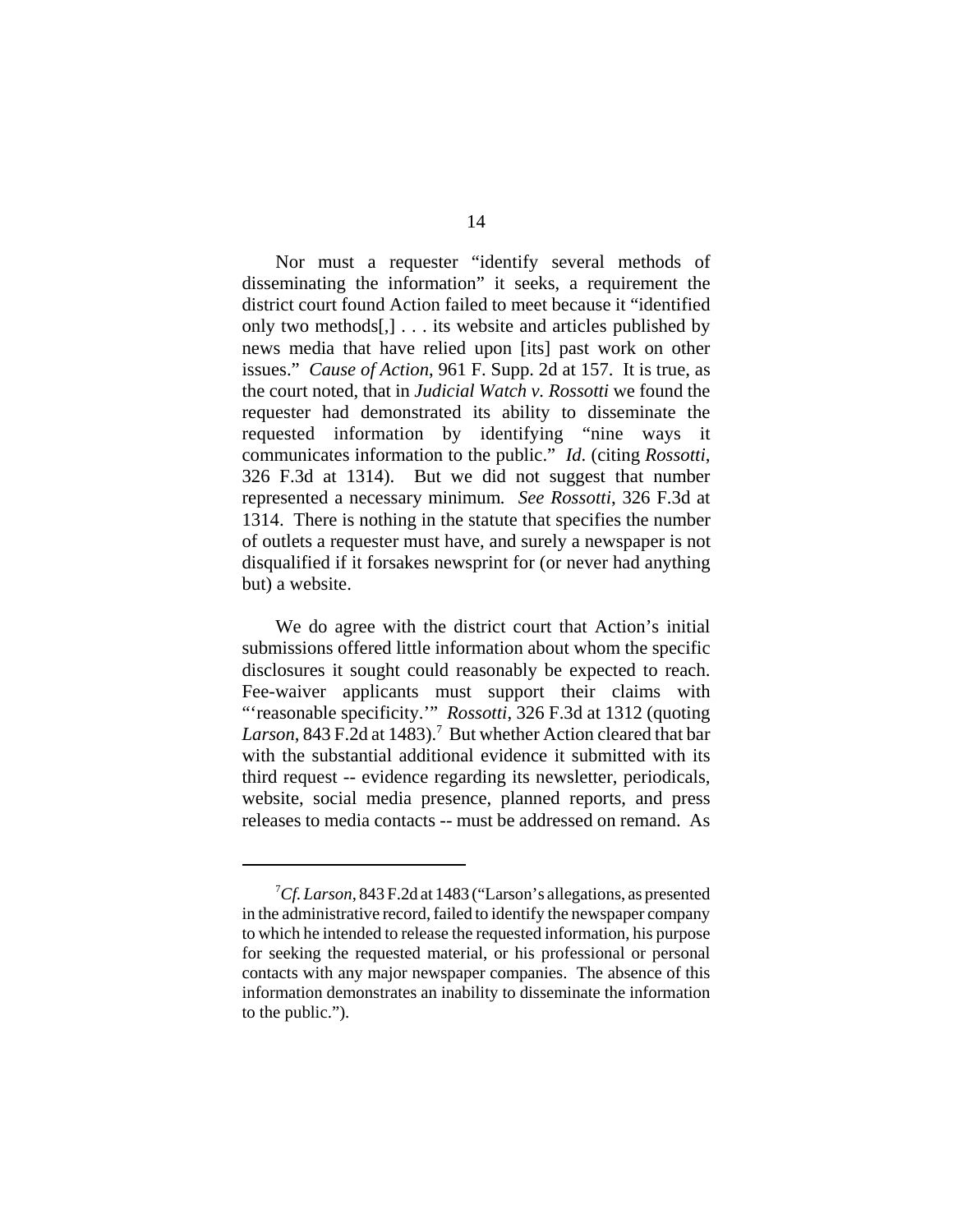Nor must a requester "identify several methods of disseminating the information" it seeks, a requirement the district court found Action failed to meet because it "identified only two methods[,] . . . its website and articles published by news media that have relied upon [its] past work on other issues." *Cause of Action*, 961 F. Supp. 2d at 157. It is true, as the court noted, that in *Judicial Watch v. Rossotti* we found the requester had demonstrated its ability to disseminate the requested information by identifying "nine ways it communicates information to the public." *Id*. (citing *Rossotti*, 326 F.3d at 1314). But we did not suggest that number represented a necessary minimum*. See Rossotti*, 326 F.3d at 1314. There is nothing in the statute that specifies the number of outlets a requester must have, and surely a newspaper is not disqualified if it forsakes newsprint for (or never had anything but) a website.

We do agree with the district court that Action's initial submissions offered little information about whom the specific disclosures it sought could reasonably be expected to reach. Fee-waiver applicants must support their claims with "'reasonable specificity.'" *Rossotti*, 326 F.3d at 1312 (quoting Larson, 843 F.2d at 1483).<sup>7</sup> But whether Action cleared that bar with the substantial additional evidence it submitted with its third request -- evidence regarding its newsletter, periodicals, website, social media presence, planned reports, and press releases to media contacts -- must be addressed on remand. As

<sup>7</sup> *Cf. Larson*, 843 F.2d at 1483 ("Larson's allegations, as presented in the administrative record, failed to identify the newspaper company to which he intended to release the requested information, his purpose for seeking the requested material, or his professional or personal contacts with any major newspaper companies. The absence of this information demonstrates an inability to disseminate the information to the public.").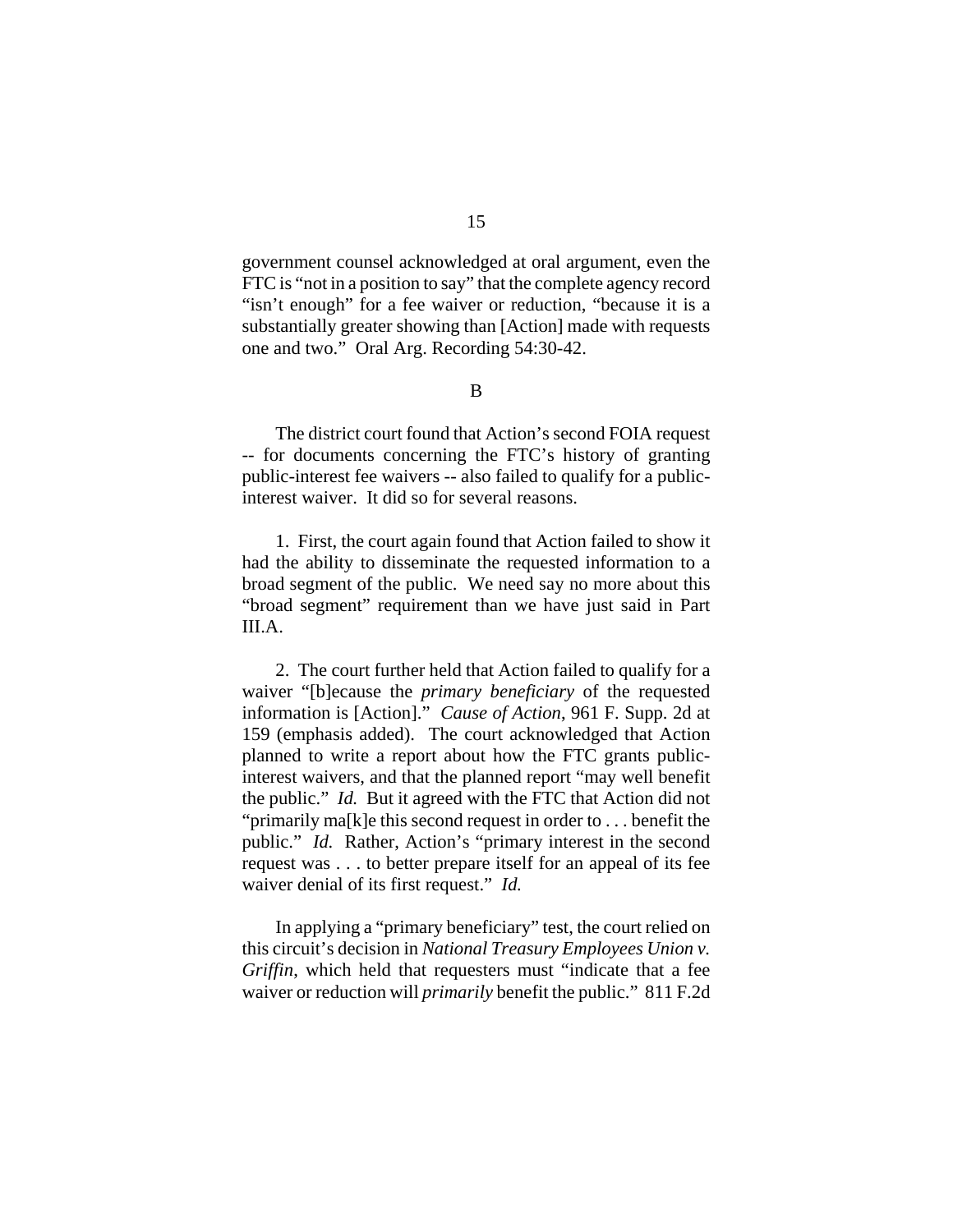government counsel acknowledged at oral argument, even the FTC is "not in a position to say" that the complete agency record "isn't enough" for a fee waiver or reduction, "because it is a substantially greater showing than [Action] made with requests one and two." Oral Arg. Recording 54:30-42.

## B

The district court found that Action's second FOIA request -- for documents concerning the FTC's history of granting public-interest fee waivers -- also failed to qualify for a publicinterest waiver. It did so for several reasons.

1. First, the court again found that Action failed to show it had the ability to disseminate the requested information to a broad segment of the public. We need say no more about this "broad segment" requirement than we have just said in Part III.A.

2. The court further held that Action failed to qualify for a waiver "[b]ecause the *primary beneficiary* of the requested information is [Action]." *Cause of Action*, 961 F. Supp. 2d at 159 (emphasis added). The court acknowledged that Action planned to write a report about how the FTC grants publicinterest waivers, and that the planned report "may well benefit the public." *Id.* But it agreed with the FTC that Action did not "primarily ma[k]e this second request in order to . . . benefit the public." *Id.* Rather, Action's "primary interest in the second request was . . . to better prepare itself for an appeal of its fee waiver denial of its first request." *Id.*

In applying a "primary beneficiary" test, the court relied on this circuit's decision in *National Treasury Employees Union v. Griffin*, which held that requesters must "indicate that a fee waiver or reduction will *primarily* benefit the public." 811 F.2d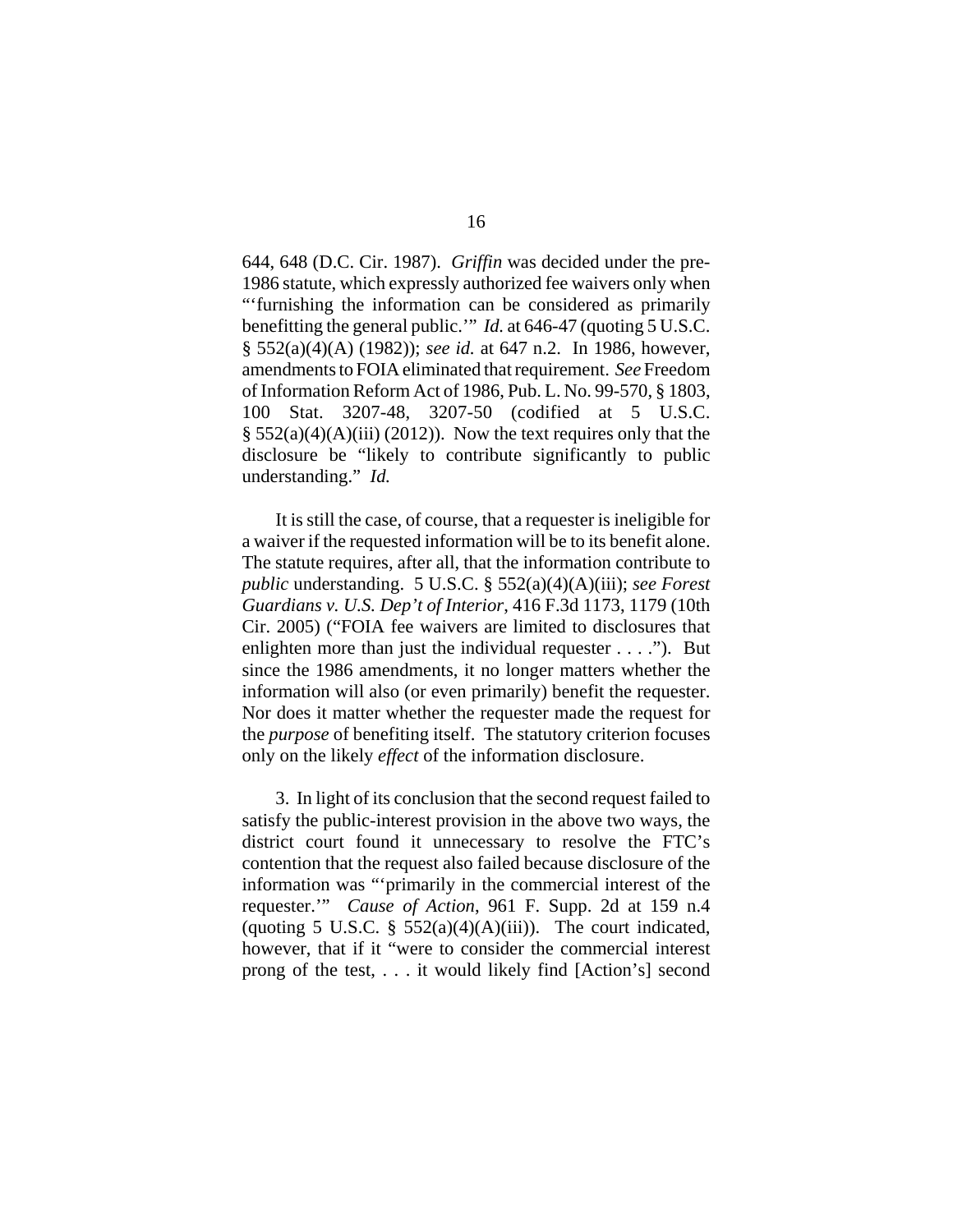644, 648 (D.C. Cir. 1987). *Griffin* was decided under the pre-1986 statute, which expressly authorized fee waivers only when "'furnishing the information can be considered as primarily benefitting the general public.'" *Id.* at 646-47 (quoting 5 U.S.C. § 552(a)(4)(A) (1982)); *see id.* at 647 n.2. In 1986, however, amendments to FOIA eliminated that requirement. *See* Freedom of Information Reform Act of 1986, Pub. L. No. 99-570, § 1803, 100 Stat. 3207-48, 3207-50 (codified at 5 U.S.C.  $\S$  552(a)(4)(A)(iii) (2012)). Now the text requires only that the disclosure be "likely to contribute significantly to public understanding." *Id.*

It is still the case, of course, that a requester is ineligible for a waiver if the requested information will be to its benefit alone. The statute requires, after all, that the information contribute to *public* understanding. 5 U.S.C. § 552(a)(4)(A)(iii); *see Forest Guardians v. U.S. Dep't of Interior*, 416 F.3d 1173, 1179 (10th Cir. 2005) ("FOIA fee waivers are limited to disclosures that enlighten more than just the individual requester . . . ."). But since the 1986 amendments, it no longer matters whether the information will also (or even primarily) benefit the requester. Nor does it matter whether the requester made the request for the *purpose* of benefiting itself. The statutory criterion focuses only on the likely *effect* of the information disclosure.

3. In light of its conclusion that the second request failed to satisfy the public-interest provision in the above two ways, the district court found it unnecessary to resolve the FTC's contention that the request also failed because disclosure of the information was "'primarily in the commercial interest of the requester.'" *Cause of Action*, 961 F. Supp. 2d at 159 n.4 (quoting 5 U.S.C.  $\S$  552(a)(4)(A)(iii)). The court indicated, however, that if it "were to consider the commercial interest prong of the test, . . . it would likely find [Action's] second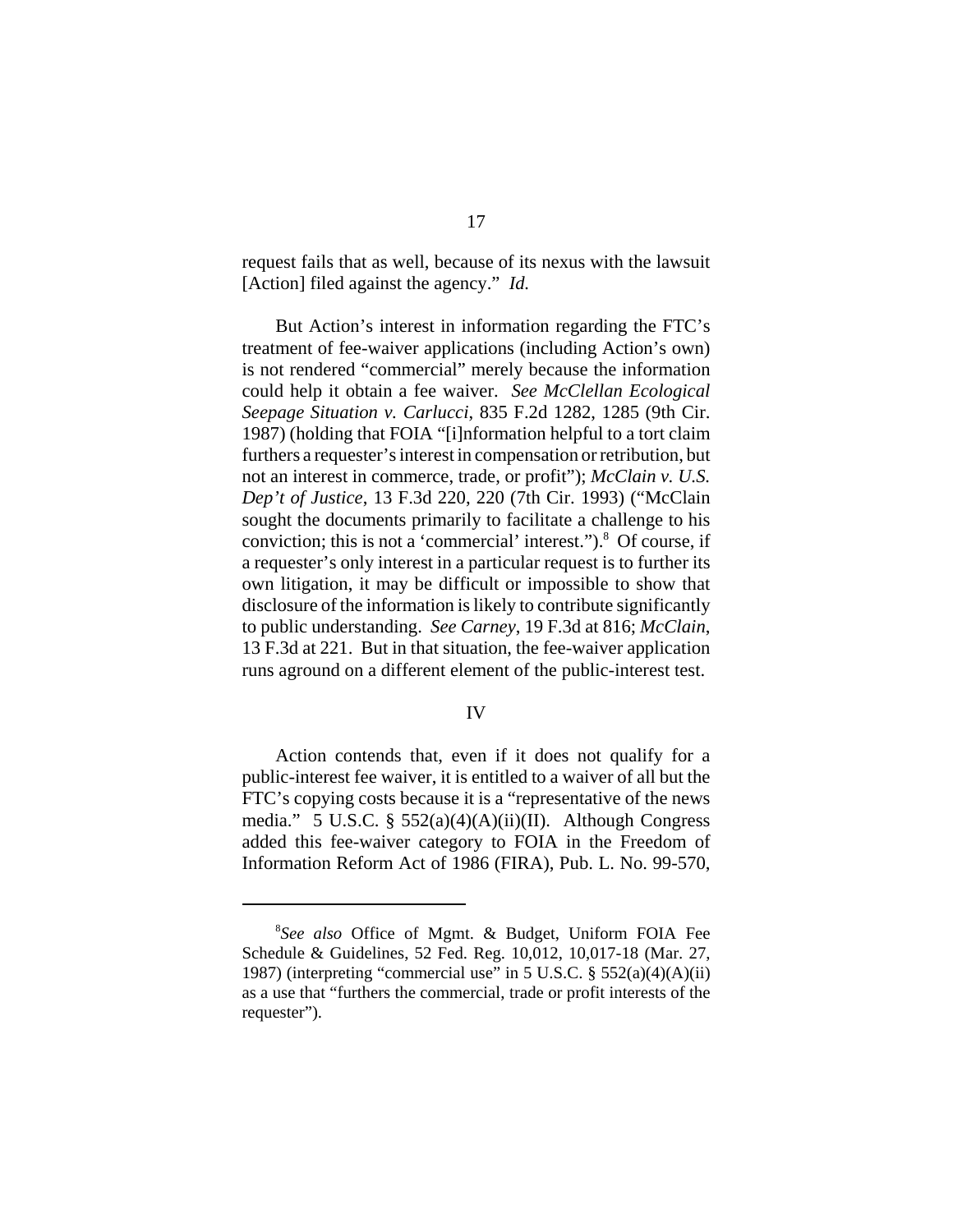request fails that as well, because of its nexus with the lawsuit [Action] filed against the agency." *Id.*

But Action's interest in information regarding the FTC's treatment of fee-waiver applications (including Action's own) is not rendered "commercial" merely because the information could help it obtain a fee waiver. *See McClellan Ecological Seepage Situation v. Carlucci*, 835 F.2d 1282, 1285 (9th Cir. 1987) (holding that FOIA "[i]nformation helpful to a tort claim furthers a requester's interest in compensation or retribution, but not an interest in commerce, trade, or profit"); *McClain v. U.S. Dep't of Justice*, 13 F.3d 220, 220 (7th Cir. 1993) ("McClain sought the documents primarily to facilitate a challenge to his conviction; this is not a 'commercial' interest.").<sup>8</sup> Of course, if a requester's only interest in a particular request is to further its own litigation, it may be difficult or impossible to show that disclosure of the information is likely to contribute significantly to public understanding. *See Carney*, 19 F.3d at 816; *McClain*, 13 F.3d at 221. But in that situation, the fee-waiver application runs aground on a different element of the public-interest test.

## IV

Action contends that, even if it does not qualify for a public-interest fee waiver, it is entitled to a waiver of all but the FTC's copying costs because it is a "representative of the news media." 5 U.S.C. § 552(a)(4)(A)(ii)(II). Although Congress added this fee-waiver category to FOIA in the Freedom of Information Reform Act of 1986 (FIRA), Pub. L. No. 99-570,

<sup>8</sup> *See also* Office of Mgmt. & Budget, Uniform FOIA Fee Schedule & Guidelines, 52 Fed. Reg. 10,012, 10,017-18 (Mar. 27, 1987) (interpreting "commercial use" in 5 U.S.C.  $\S$  552(a)(4)(A)(ii) as a use that "furthers the commercial, trade or profit interests of the requester").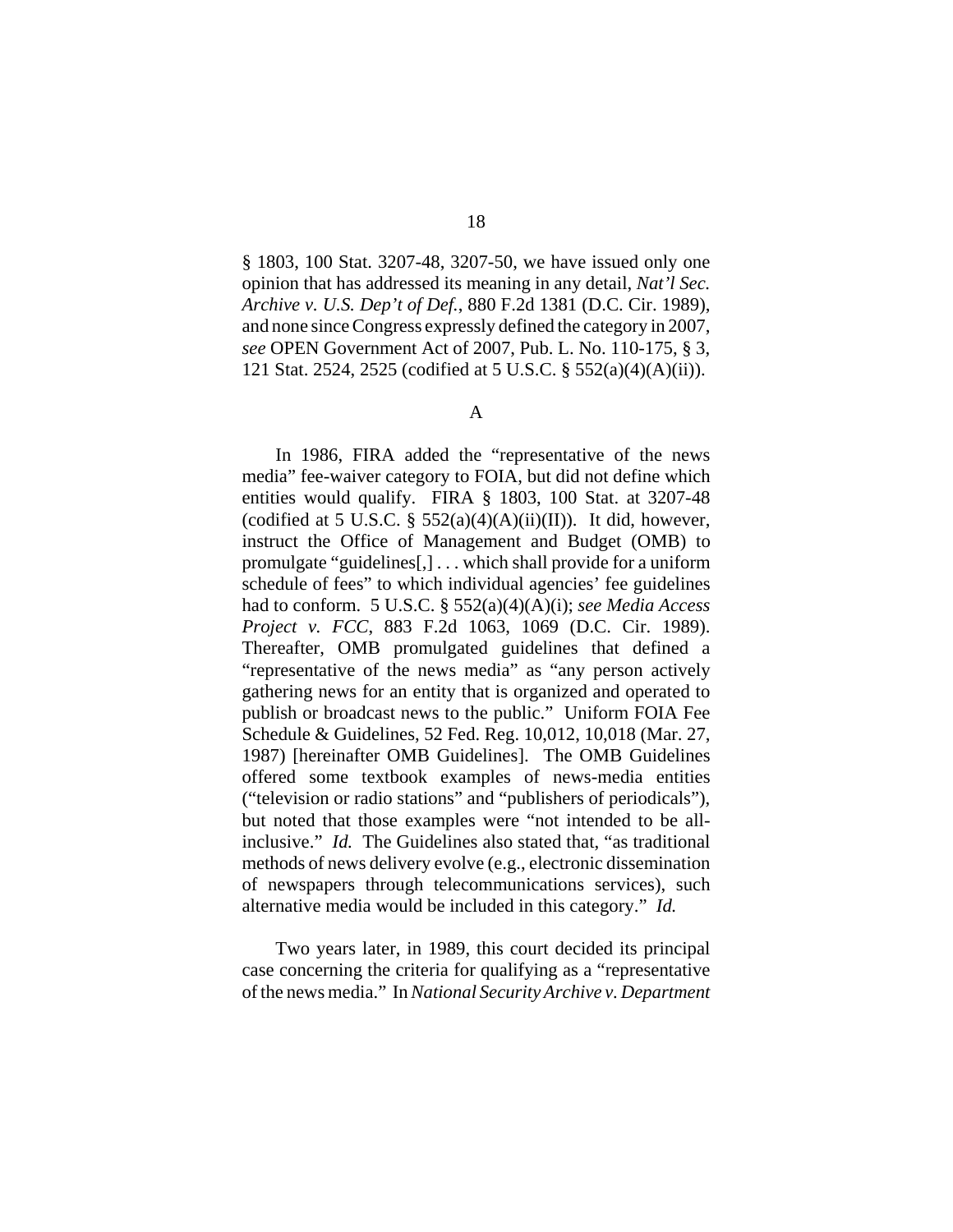§ 1803, 100 Stat. 3207-48, 3207-50, we have issued only one opinion that has addressed its meaning in any detail, *Nat'l Sec. Archive v. U.S. Dep't of Def.*, 880 F.2d 1381 (D.C. Cir. 1989), and none since Congress expressly defined the category in 2007,

A

*see* OPEN Government Act of 2007, Pub. L. No. 110-175, § 3, 121 Stat. 2524, 2525 (codified at 5 U.S.C. § 552(a)(4)(A)(ii)).

In 1986, FIRA added the "representative of the news media" fee-waiver category to FOIA, but did not define which entities would qualify. FIRA § 1803, 100 Stat. at 3207-48 (codified at 5 U.S.C.  $\S$  552(a)(4)(A)(ii)(II)). It did, however, instruct the Office of Management and Budget (OMB) to promulgate "guidelines[,] . . . which shall provide for a uniform schedule of fees" to which individual agencies' fee guidelines had to conform. 5 U.S.C. § 552(a)(4)(A)(i); *see Media Access Project v. FCC*, 883 F.2d 1063, 1069 (D.C. Cir. 1989). Thereafter, OMB promulgated guidelines that defined a "representative of the news media" as "any person actively gathering news for an entity that is organized and operated to publish or broadcast news to the public." Uniform FOIA Fee Schedule & Guidelines, 52 Fed. Reg. 10,012, 10,018 (Mar. 27, 1987) [hereinafter OMB Guidelines]. The OMB Guidelines offered some textbook examples of news-media entities ("television or radio stations" and "publishers of periodicals"), but noted that those examples were "not intended to be allinclusive." *Id.* The Guidelines also stated that, "as traditional methods of news delivery evolve (e.g., electronic dissemination of newspapers through telecommunications services), such alternative media would be included in this category." *Id.*

Two years later, in 1989, this court decided its principal case concerning the criteria for qualifying as a "representative of the news media." In *National Security Archive v. Department*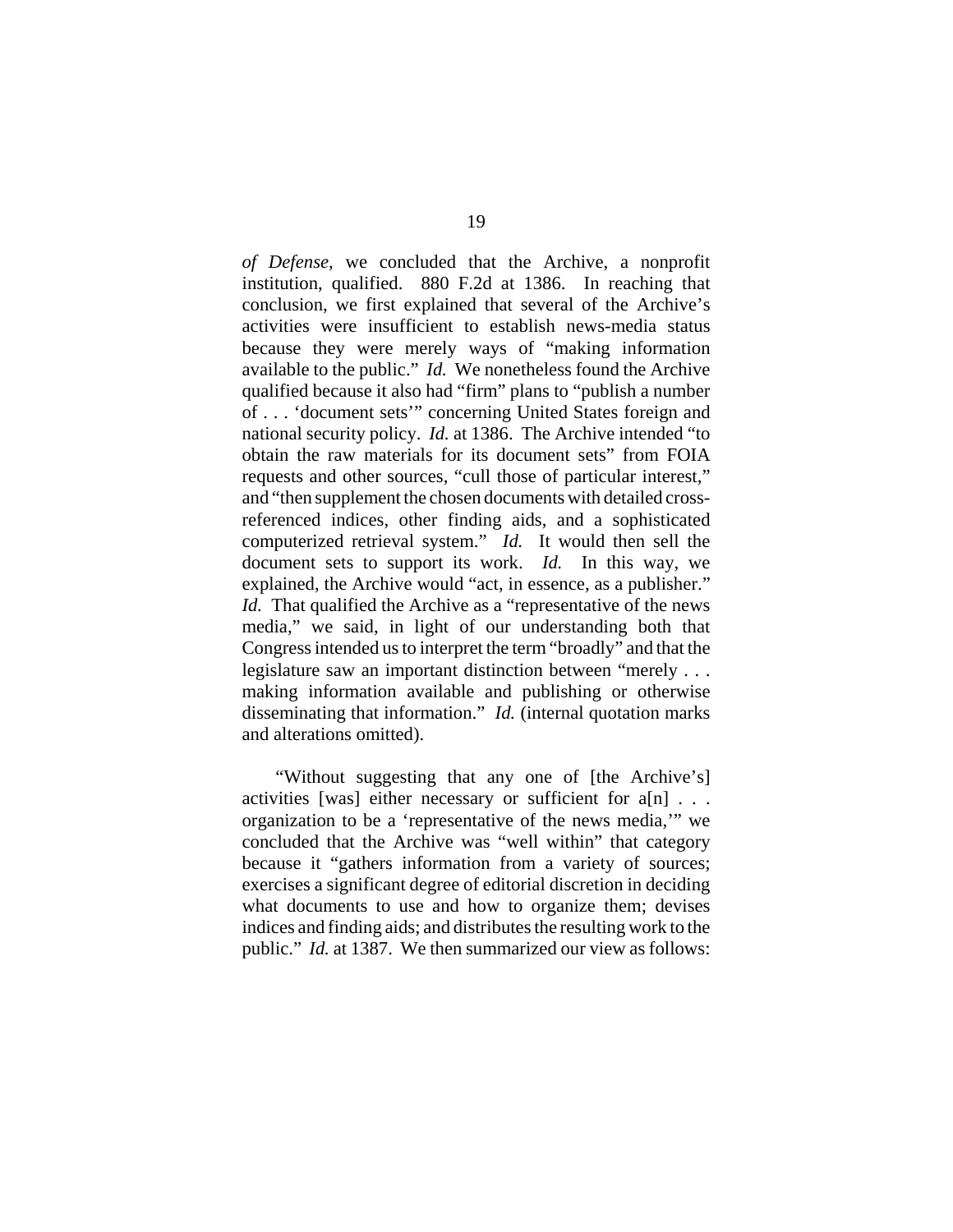*of Defense*, we concluded that the Archive, a nonprofit institution, qualified. 880 F.2d at 1386. In reaching that conclusion, we first explained that several of the Archive's activities were insufficient to establish news-media status because they were merely ways of "making information available to the public." *Id.* We nonetheless found the Archive qualified because it also had "firm" plans to "publish a number of . . . 'document sets'" concerning United States foreign and national security policy. *Id.* at 1386. The Archive intended "to obtain the raw materials for its document sets" from FOIA requests and other sources, "cull those of particular interest," and "then supplement the chosen documents with detailed crossreferenced indices, other finding aids, and a sophisticated computerized retrieval system." *Id.* It would then sell the document sets to support its work. *Id.* In this way, we explained, the Archive would "act, in essence, as a publisher." *Id.* That qualified the Archive as a "representative of the news media," we said, in light of our understanding both that Congress intended us to interpret the term "broadly" and that the legislature saw an important distinction between "merely . . . making information available and publishing or otherwise disseminating that information." *Id.* (internal quotation marks and alterations omitted).

"Without suggesting that any one of [the Archive's] activities [was] either necessary or sufficient for a[n] . . . organization to be a 'representative of the news media,'" we concluded that the Archive was "well within" that category because it "gathers information from a variety of sources; exercises a significant degree of editorial discretion in deciding what documents to use and how to organize them; devises indices and finding aids; and distributes the resulting work to the public." *Id.* at 1387. We then summarized our view as follows: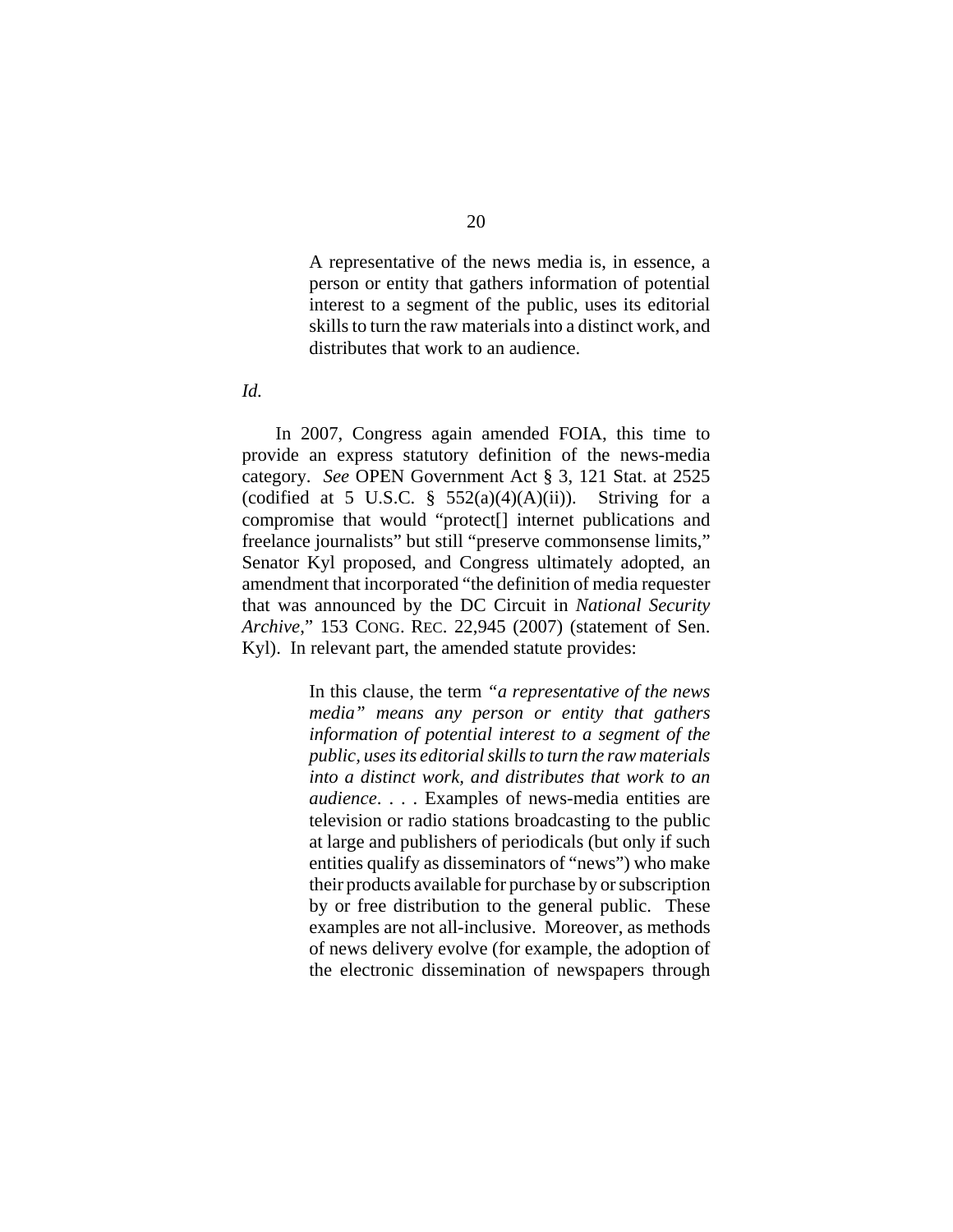A representative of the news media is, in essence, a person or entity that gathers information of potential interest to a segment of the public, uses its editorial skills to turn the raw materials into a distinct work, and distributes that work to an audience.

*Id.*

In 2007, Congress again amended FOIA, this time to provide an express statutory definition of the news-media category. *See* OPEN Government Act § 3, 121 Stat. at 2525 (codified at 5 U.S.C. §  $552(a)(4)(A)(ii)$ ). Striving for a compromise that would "protect[] internet publications and freelance journalists" but still "preserve commonsense limits," Senator Kyl proposed, and Congress ultimately adopted, an amendment that incorporated "the definition of media requester that was announced by the DC Circuit in *National Security Archive*," 153 CONG. REC. 22,945 (2007) (statement of Sen. Kyl). In relevant part, the amended statute provides:

> In this clause, the term *"a representative of the news media" means any person or entity that gathers information of potential interest to a segment of the public, uses its editorial skills to turn the raw materials into a distinct work, and distributes that work to an audience*. . . . Examples of news-media entities are television or radio stations broadcasting to the public at large and publishers of periodicals (but only if such entities qualify as disseminators of "news") who make their products available for purchase by or subscription by or free distribution to the general public. These examples are not all-inclusive. Moreover, as methods of news delivery evolve (for example, the adoption of the electronic dissemination of newspapers through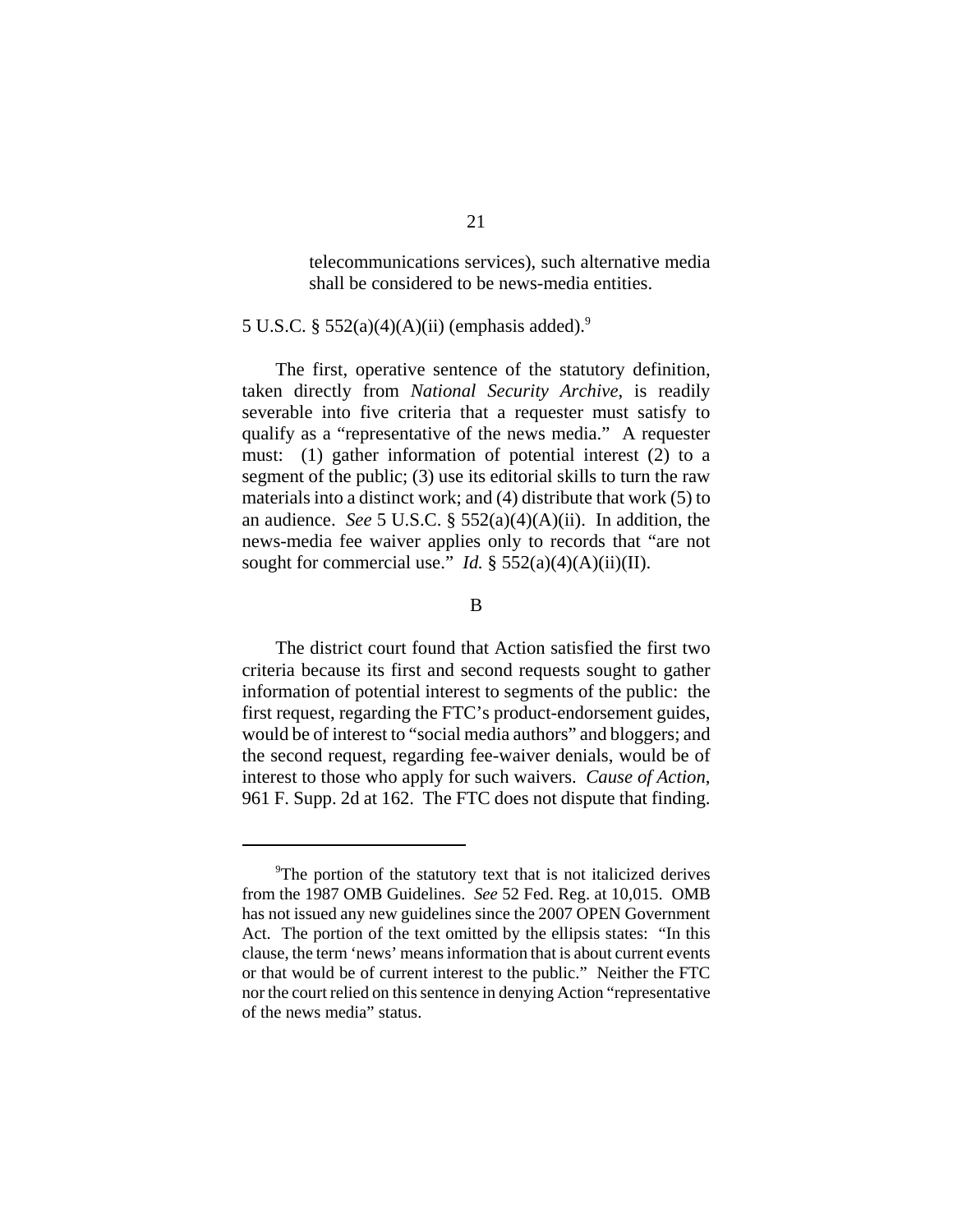telecommunications services), such alternative media shall be considered to be news-media entities.

# 5 U.S.C. §  $552(a)(4)(A)(ii)$  (emphasis added).<sup>9</sup>

The first, operative sentence of the statutory definition, taken directly from *National Security Archive*, is readily severable into five criteria that a requester must satisfy to qualify as a "representative of the news media." A requester must: (1) gather information of potential interest (2) to a segment of the public; (3) use its editorial skills to turn the raw materials into a distinct work; and (4) distribute that work (5) to an audience. *See* 5 U.S.C. § 552(a)(4)(A)(ii). In addition, the news-media fee waiver applies only to records that "are not sought for commercial use." *Id.*  $\S$  552(a)(4)(A)(ii)(II).

## B

The district court found that Action satisfied the first two criteria because its first and second requests sought to gather information of potential interest to segments of the public: the first request, regarding the FTC's product-endorsement guides, would be of interest to "social media authors" and bloggers; and the second request, regarding fee-waiver denials, would be of interest to those who apply for such waivers. *Cause of Action*, 961 F. Supp. 2d at 162. The FTC does not dispute that finding.

<sup>&</sup>lt;sup>9</sup>The portion of the statutory text that is not italicized derives from the 1987 OMB Guidelines. *See* 52 Fed. Reg. at 10,015. OMB has not issued any new guidelines since the 2007 OPEN Government Act. The portion of the text omitted by the ellipsis states: "In this clause, the term 'news' means information that is about current events or that would be of current interest to the public." Neither the FTC nor the court relied on this sentence in denying Action "representative of the news media" status.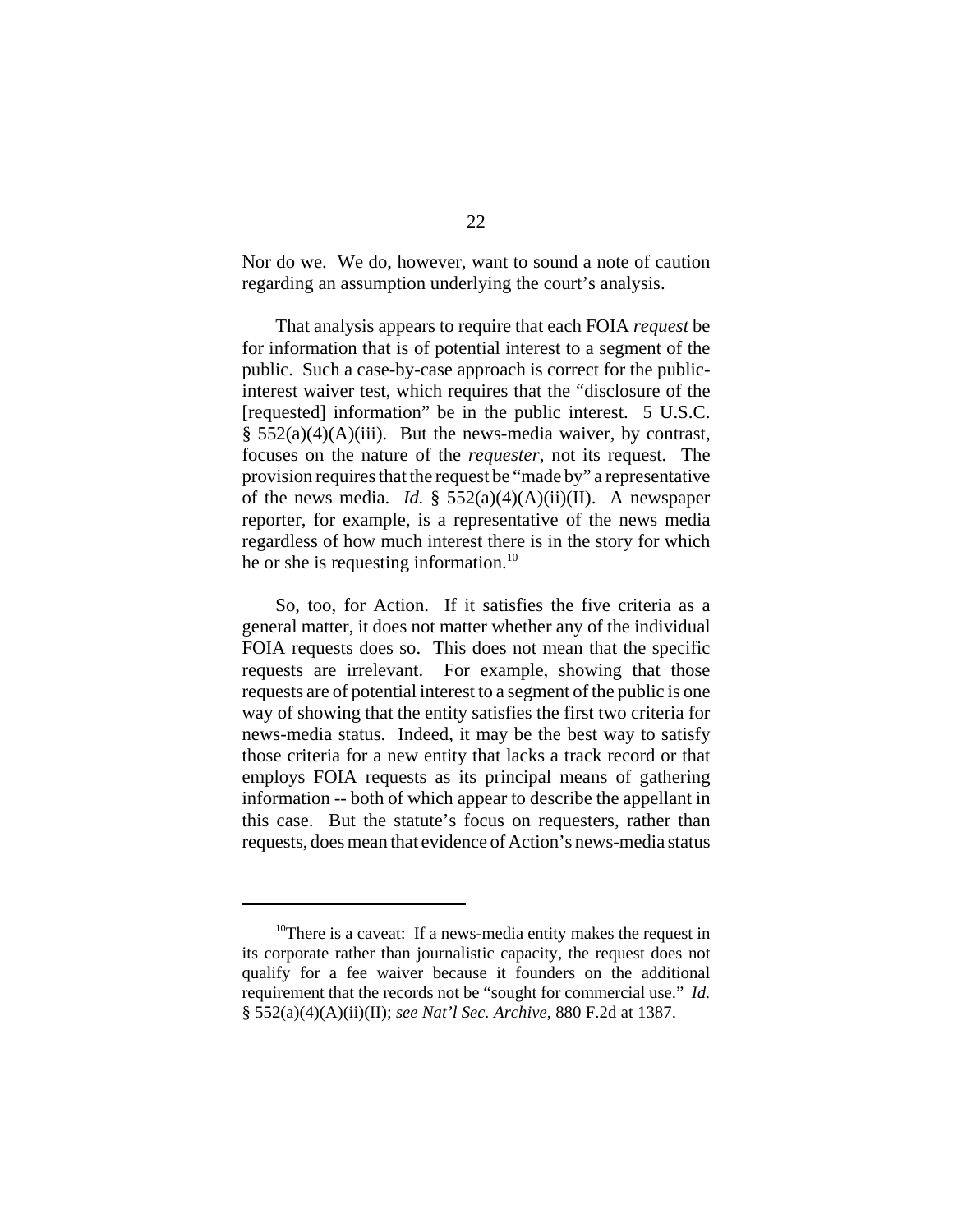Nor do we. We do, however, want to sound a note of caution regarding an assumption underlying the court's analysis.

That analysis appears to require that each FOIA *request* be for information that is of potential interest to a segment of the public. Such a case-by-case approach is correct for the publicinterest waiver test, which requires that the "disclosure of the [requested] information" be in the public interest. 5 U.S.C.  $§$  552(a)(4)(A)(iii). But the news-media waiver, by contrast, focuses on the nature of the *requester*, not its request. The provision requires that the request be "made by" a representative of the news media. *Id.*  $\frac{1}{2}$  552(a)(4)(A)(ii)(II). A newspaper reporter, for example, is a representative of the news media regardless of how much interest there is in the story for which he or she is requesting information.<sup>10</sup>

So, too, for Action. If it satisfies the five criteria as a general matter, it does not matter whether any of the individual FOIA requests does so. This does not mean that the specific requests are irrelevant. For example, showing that those requests are of potential interest to a segment of the public is one way of showing that the entity satisfies the first two criteria for news-media status. Indeed, it may be the best way to satisfy those criteria for a new entity that lacks a track record or that employs FOIA requests as its principal means of gathering information -- both of which appear to describe the appellant in this case. But the statute's focus on requesters, rather than requests, does mean that evidence of Action's news-media status

 $10$ <sup>10</sup>There is a caveat: If a news-media entity makes the request in its corporate rather than journalistic capacity, the request does not qualify for a fee waiver because it founders on the additional requirement that the records not be "sought for commercial use." *Id.* § 552(a)(4)(A)(ii)(II); *see Nat'l Sec. Archive*, 880 F.2d at 1387.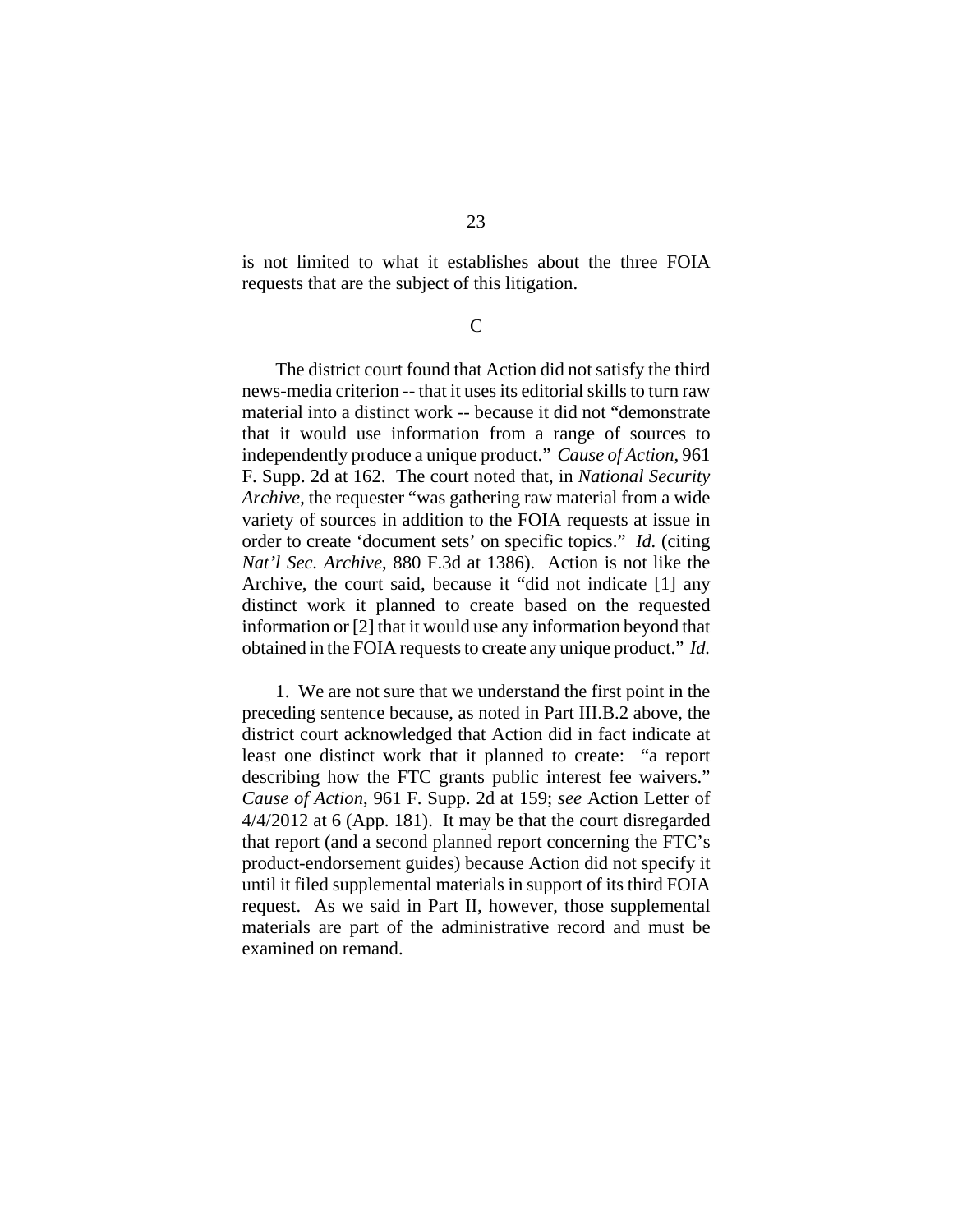is not limited to what it establishes about the three FOIA requests that are the subject of this litigation.

C

The district court found that Action did not satisfy the third news-media criterion -- that it uses its editorial skills to turn raw material into a distinct work -- because it did not "demonstrate that it would use information from a range of sources to independently produce a unique product." *Cause of Action*, 961 F. Supp. 2d at 162. The court noted that, in *National Security Archive*, the requester "was gathering raw material from a wide variety of sources in addition to the FOIA requests at issue in order to create 'document sets' on specific topics." *Id.* (citing *Nat'l Sec. Archive*, 880 F.3d at 1386). Action is not like the Archive, the court said, because it "did not indicate [1] any distinct work it planned to create based on the requested information or [2] that it would use any information beyond that obtained in the FOIA requests to create any unique product." *Id.*

1. We are not sure that we understand the first point in the preceding sentence because, as noted in Part III.B.2 above, the district court acknowledged that Action did in fact indicate at least one distinct work that it planned to create: "a report describing how the FTC grants public interest fee waivers." *Cause of Action*, 961 F. Supp. 2d at 159; *see* Action Letter of 4/4/2012 at 6 (App. 181). It may be that the court disregarded that report (and a second planned report concerning the FTC's product-endorsement guides) because Action did not specify it until it filed supplemental materials in support of its third FOIA request. As we said in Part II, however, those supplemental materials are part of the administrative record and must be examined on remand.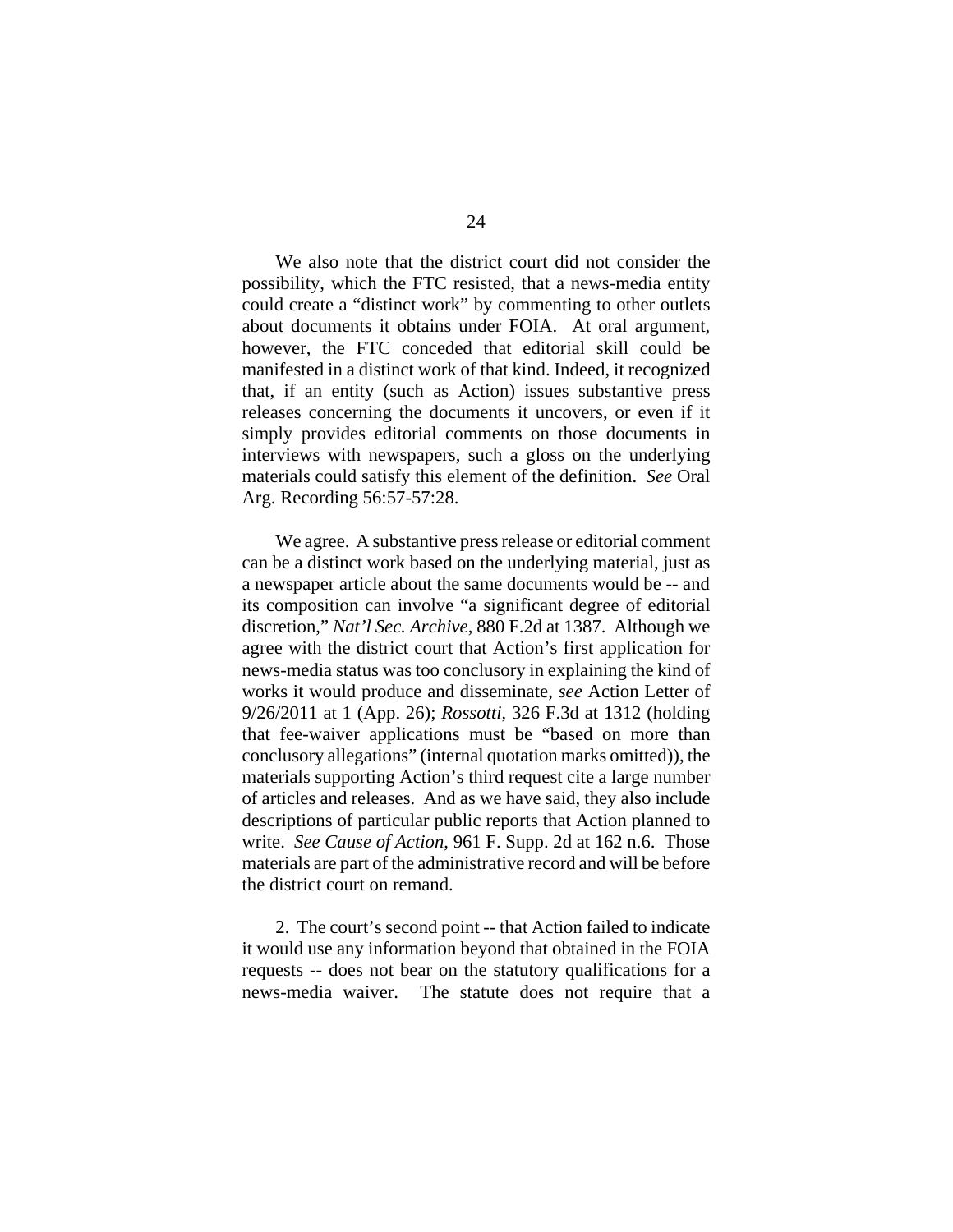We also note that the district court did not consider the possibility, which the FTC resisted, that a news-media entity could create a "distinct work" by commenting to other outlets about documents it obtains under FOIA. At oral argument, however, the FTC conceded that editorial skill could be manifested in a distinct work of that kind. Indeed, it recognized that, if an entity (such as Action) issues substantive press releases concerning the documents it uncovers, or even if it simply provides editorial comments on those documents in interviews with newspapers, such a gloss on the underlying materials could satisfy this element of the definition. *See* Oral Arg. Recording 56:57-57:28.

We agree. A substantive press release or editorial comment can be a distinct work based on the underlying material, just as a newspaper article about the same documents would be -- and its composition can involve "a significant degree of editorial discretion," *Nat'l Sec. Archive*, 880 F.2d at 1387. Although we agree with the district court that Action's first application for news-media status was too conclusory in explaining the kind of works it would produce and disseminate, *see* Action Letter of 9/26/2011 at 1 (App. 26); *Rossotti*, 326 F.3d at 1312 (holding that fee-waiver applications must be "based on more than conclusory allegations" (internal quotation marks omitted)), the materials supporting Action's third request cite a large number of articles and releases. And as we have said, they also include descriptions of particular public reports that Action planned to write. *See Cause of Action*, 961 F. Supp. 2d at 162 n.6. Those materials are part of the administrative record and will be before the district court on remand.

2. The court's second point -- that Action failed to indicate it would use any information beyond that obtained in the FOIA requests -- does not bear on the statutory qualifications for a news-media waiver. The statute does not require that a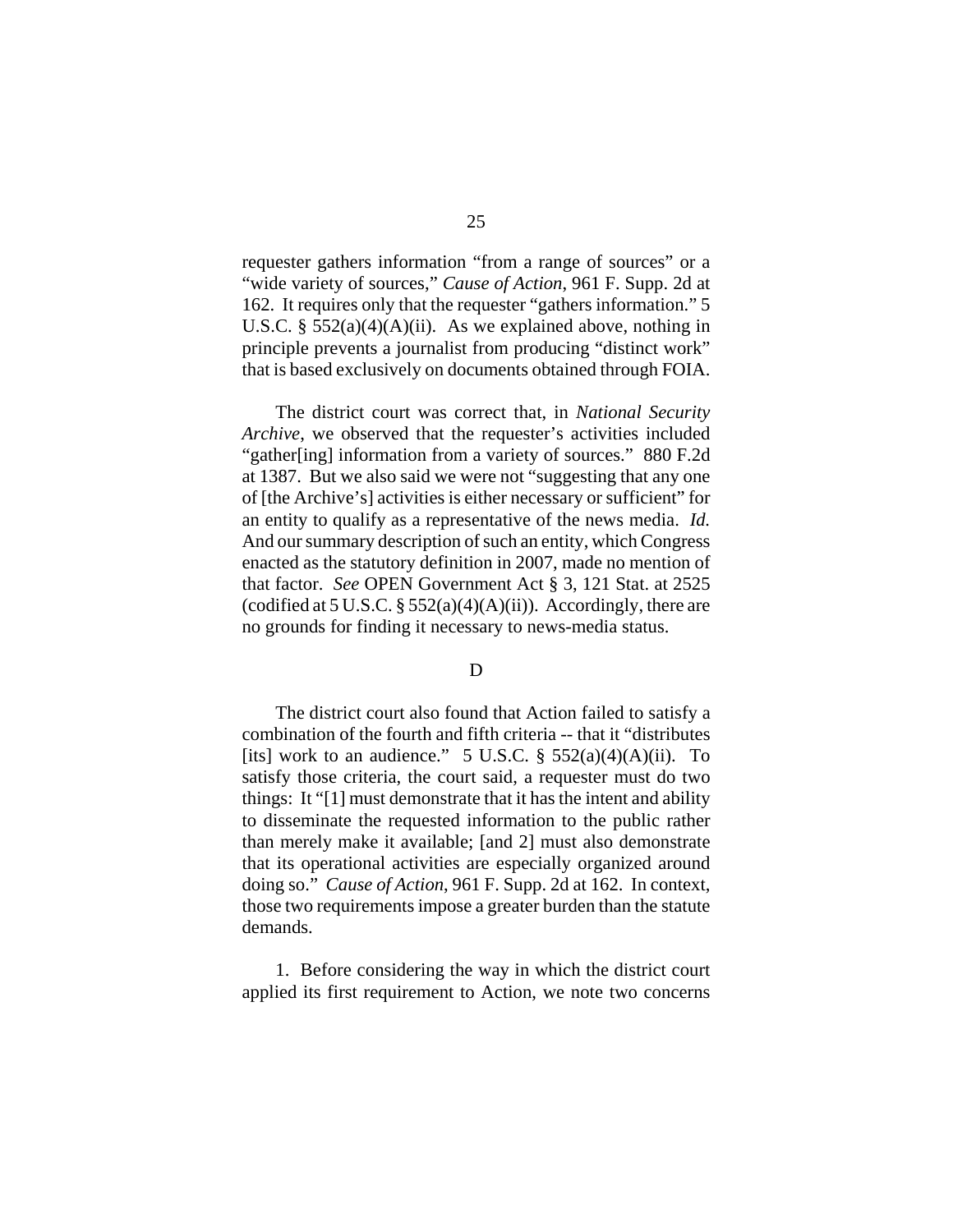requester gathers information "from a range of sources" or a "wide variety of sources," *Cause of Action*, 961 F. Supp. 2d at 162. It requires only that the requester "gathers information." 5 U.S.C. §  $552(a)(4)(A)(ii)$ . As we explained above, nothing in principle prevents a journalist from producing "distinct work" that is based exclusively on documents obtained through FOIA.

The district court was correct that, in *National Security Archive*, we observed that the requester's activities included "gather[ing] information from a variety of sources." 880 F.2d at 1387. But we also said we were not "suggesting that any one of [the Archive's] activities is either necessary or sufficient" for an entity to qualify as a representative of the news media. *Id.* And our summary description of such an entity, which Congress enacted as the statutory definition in 2007, made no mention of that factor. *See* OPEN Government Act § 3, 121 Stat. at 2525 (codified at 5 U.S.C.  $\S 552(a)(4)(A)(ii)$ ). Accordingly, there are no grounds for finding it necessary to news-media status.

D

The district court also found that Action failed to satisfy a combination of the fourth and fifth criteria -- that it "distributes [its] work to an audience." 5 U.S.C.  $\S$  552(a)(4)(A)(ii). To satisfy those criteria, the court said, a requester must do two things: It "[1] must demonstrate that it has the intent and ability to disseminate the requested information to the public rather than merely make it available; [and 2] must also demonstrate that its operational activities are especially organized around doing so." *Cause of Action*, 961 F. Supp. 2d at 162. In context, those two requirements impose a greater burden than the statute demands.

1. Before considering the way in which the district court applied its first requirement to Action, we note two concerns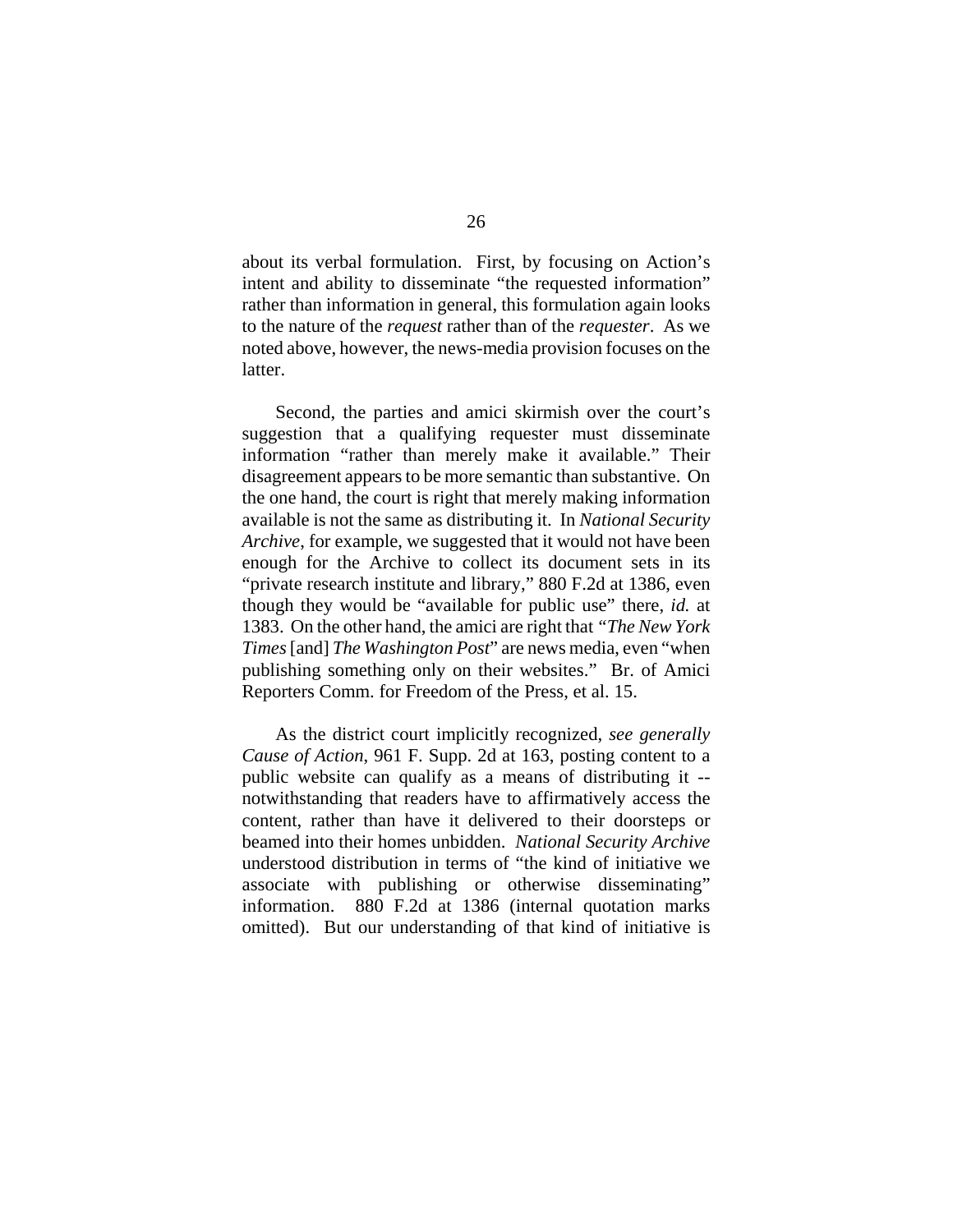about its verbal formulation. First, by focusing on Action's intent and ability to disseminate "the requested information" rather than information in general, this formulation again looks to the nature of the *request* rather than of the *requester*. As we noted above, however, the news-media provision focuses on the latter.

Second, the parties and amici skirmish over the court's suggestion that a qualifying requester must disseminate information "rather than merely make it available." Their disagreement appears to be more semantic than substantive. On the one hand, the court is right that merely making information available is not the same as distributing it. In *National Security Archive*, for example, we suggested that it would not have been enough for the Archive to collect its document sets in its "private research institute and library," 880 F.2d at 1386, even though they would be "available for public use" there, *id.* at 1383. On the other hand, the amici are right that *"The New York Times* [and] *The Washington Post*" are news media, even "when publishing something only on their websites." Br. of Amici Reporters Comm. for Freedom of the Press, et al. 15.

As the district court implicitly recognized, *see generally Cause of Action*, 961 F. Supp. 2d at 163, posting content to a public website can qualify as a means of distributing it - notwithstanding that readers have to affirmatively access the content, rather than have it delivered to their doorsteps or beamed into their homes unbidden. *National Security Archive* understood distribution in terms of "the kind of initiative we associate with publishing or otherwise disseminating" information. 880 F.2d at 1386 (internal quotation marks omitted). But our understanding of that kind of initiative is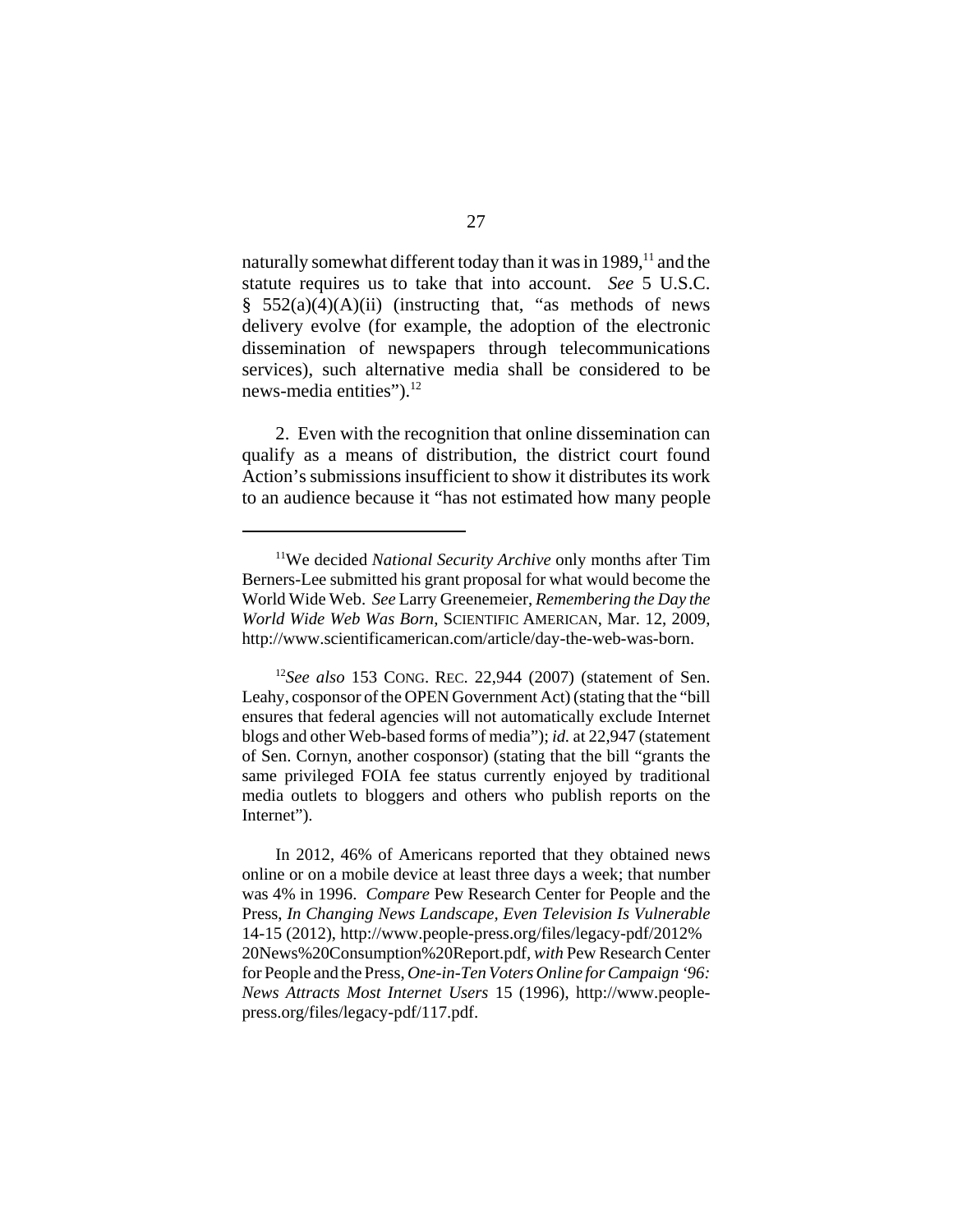naturally somewhat different today than it was in  $1989$ ,<sup>11</sup> and the statute requires us to take that into account. *See* 5 U.S.C. §  $552(a)(4)(A)(ii)$  (instructing that, "as methods of news delivery evolve (for example, the adoption of the electronic dissemination of newspapers through telecommunications services), such alternative media shall be considered to be news-media entities").<sup>12</sup>

2. Even with the recognition that online dissemination can qualify as a means of distribution, the district court found Action's submissions insufficient to show it distributes its work to an audience because it "has not estimated how many people

<sup>&</sup>lt;sup>11</sup>We decided *National Security Archive* only months after Tim Berners-Lee submitted his grant proposal for what would become the World Wide Web. *See* Larry Greenemeier, *Remembering the Day the World Wide Web Was Born*, SCIENTIFIC AMERICAN, Mar. 12, 2009, http://www.scientificamerican.com/article/day-the-web-was-born.

<sup>12</sup>*See also* 153 CONG. REC. 22,944 (2007) (statement of Sen. Leahy, cosponsor of the OPEN Government Act) (stating that the "bill ensures that federal agencies will not automatically exclude Internet blogs and other Web-based forms of media"); *id.* at 22,947 (statement of Sen. Cornyn, another cosponsor) (stating that the bill "grants the same privileged FOIA fee status currently enjoyed by traditional media outlets to bloggers and others who publish reports on the Internet").

In 2012, 46% of Americans reported that they obtained news online or on a mobile device at least three days a week; that number was 4% in 1996. *Compare* Pew Research Center for People and the Press, *In Changing News Landscape, Even Television Is Vulnerable* 14-15 (2012), http://www.people-press.org/files/legacy-pdf/2012% 20News%20Consumption%20Report.pdf*, with* Pew Research Center for People and the Press, *One-in-Ten Voters Online for Campaign '96: News Attracts Most Internet Users* 15 (1996), http://www.peoplepress.org/files/legacy-pdf/117.pdf.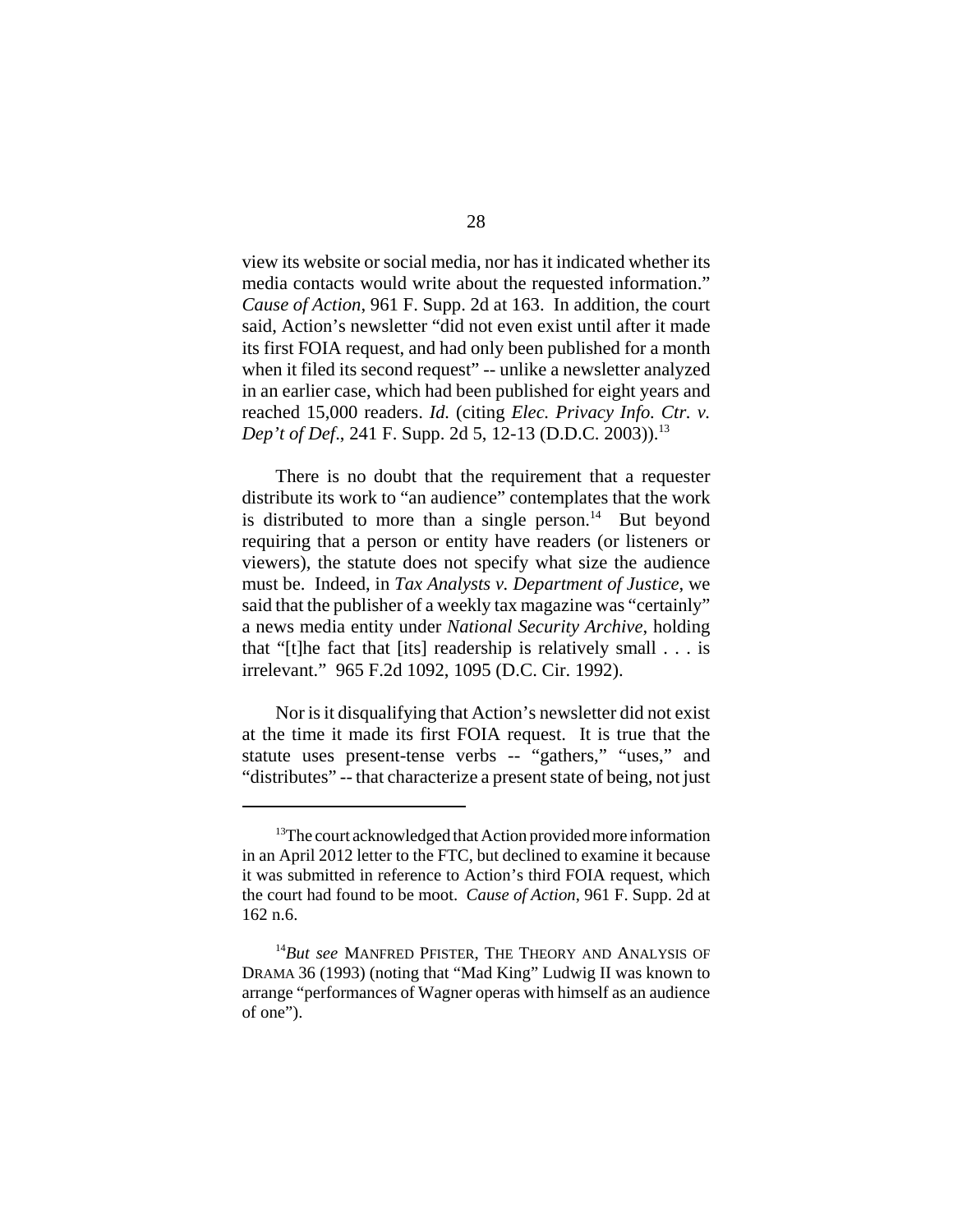view its website or social media, nor has it indicated whether its media contacts would write about the requested information." *Cause of Action*, 961 F. Supp. 2d at 163. In addition, the court said, Action's newsletter "did not even exist until after it made its first FOIA request, and had only been published for a month when it filed its second request" -- unlike a newsletter analyzed in an earlier case, which had been published for eight years and reached 15,000 readers. *Id.* (citing *Elec. Privacy Info. Ctr. v. Dep't of Def.*, 241 F. Supp. 2d 5, 12-13 (D.D.C. 2003)).<sup>13</sup>

There is no doubt that the requirement that a requester distribute its work to "an audience" contemplates that the work is distributed to more than a single person. $^{14}$  But beyond requiring that a person or entity have readers (or listeners or viewers), the statute does not specify what size the audience must be. Indeed, in *Tax Analysts v. Department of Justice*, we said that the publisher of a weekly tax magazine was "certainly" a news media entity under *National Security Archive*, holding that "[t]he fact that [its] readership is relatively small . . . is irrelevant." 965 F.2d 1092, 1095 (D.C. Cir. 1992).

Nor is it disqualifying that Action's newsletter did not exist at the time it made its first FOIA request. It is true that the statute uses present-tense verbs -- "gathers," "uses," and "distributes" -- that characterize a present state of being, not just

<sup>&</sup>lt;sup>13</sup>The court acknowledged that Action provided more information in an April 2012 letter to the FTC, but declined to examine it because it was submitted in reference to Action's third FOIA request, which the court had found to be moot. *Cause of Action*, 961 F. Supp. 2d at 162 n.6.

<sup>14</sup>*But see* MANFRED PFISTER, THE THEORY AND ANALYSIS OF DRAMA 36 (1993) (noting that "Mad King" Ludwig II was known to arrange "performances of Wagner operas with himself as an audience of one").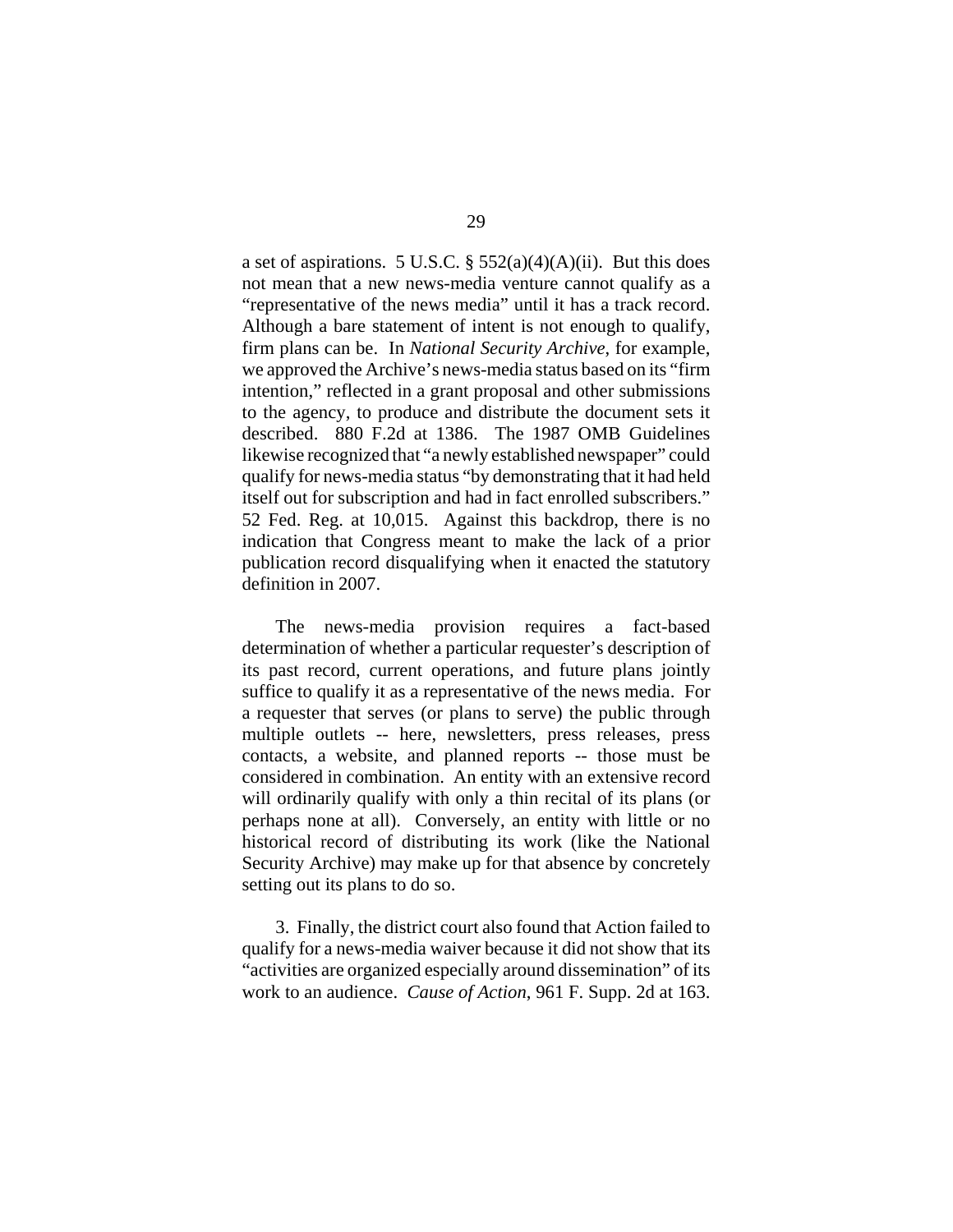a set of aspirations. 5 U.S.C.  $\S$  552(a)(4)(A)(ii). But this does not mean that a new news-media venture cannot qualify as a "representative of the news media" until it has a track record. Although a bare statement of intent is not enough to qualify, firm plans can be. In *National Security Archive*, for example, we approved the Archive's news-media status based on its "firm intention," reflected in a grant proposal and other submissions to the agency, to produce and distribute the document sets it described. 880 F.2d at 1386. The 1987 OMB Guidelines likewise recognized that "a newly established newspaper" could qualify for news-media status "by demonstrating that it had held itself out for subscription and had in fact enrolled subscribers." 52 Fed. Reg. at 10,015. Against this backdrop, there is no indication that Congress meant to make the lack of a prior publication record disqualifying when it enacted the statutory definition in 2007.

The news-media provision requires a fact-based determination of whether a particular requester's description of its past record, current operations, and future plans jointly suffice to qualify it as a representative of the news media. For a requester that serves (or plans to serve) the public through multiple outlets -- here, newsletters, press releases, press contacts, a website, and planned reports -- those must be considered in combination. An entity with an extensive record will ordinarily qualify with only a thin recital of its plans (or perhaps none at all). Conversely, an entity with little or no historical record of distributing its work (like the National Security Archive) may make up for that absence by concretely setting out its plans to do so.

3. Finally, the district court also found that Action failed to qualify for a news-media waiver because it did not show that its "activities are organized especially around dissemination" of its work to an audience. *Cause of Action*, 961 F. Supp. 2d at 163.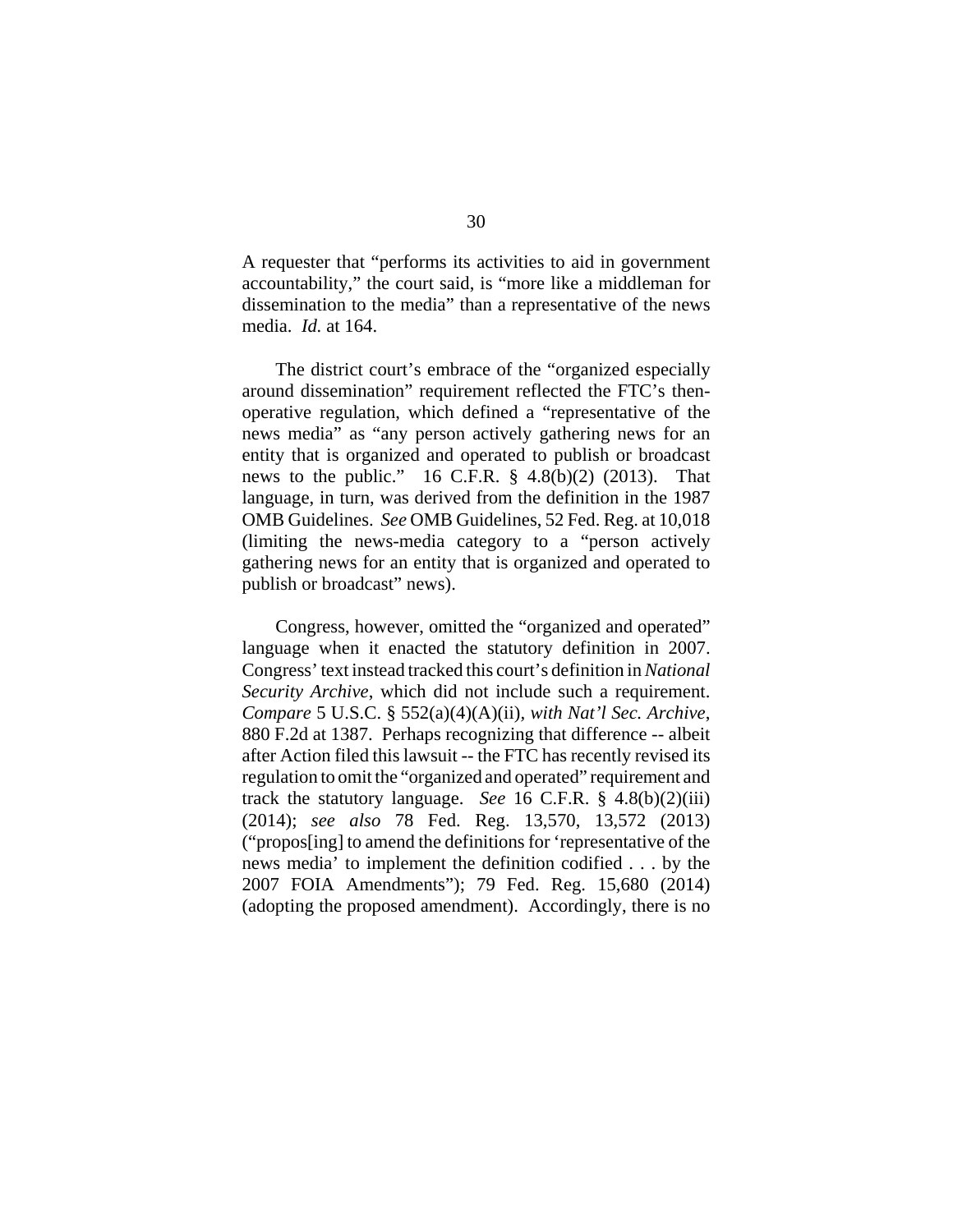A requester that "performs its activities to aid in government accountability," the court said, is "more like a middleman for dissemination to the media" than a representative of the news media. *Id.* at 164.

The district court's embrace of the "organized especially around dissemination" requirement reflected the FTC's thenoperative regulation, which defined a "representative of the news media" as "any person actively gathering news for an entity that is organized and operated to publish or broadcast news to the public."  $16$  C.F.R.  $\S$  4.8(b)(2) (2013). That language, in turn, was derived from the definition in the 1987 OMB Guidelines. *See* OMB Guidelines, 52 Fed. Reg. at 10,018 (limiting the news-media category to a "person actively gathering news for an entity that is organized and operated to publish or broadcast" news).

Congress, however, omitted the "organized and operated" language when it enacted the statutory definition in 2007. Congress' text instead tracked this court's definition in *National Security Archive*, which did not include such a requirement. *Compare* 5 U.S.C. § 552(a)(4)(A)(ii)*, with Nat'l Sec. Archive*, 880 F.2d at 1387. Perhaps recognizing that difference -- albeit after Action filed this lawsuit -- the FTC has recently revised its regulation to omit the "organized and operated" requirement and track the statutory language. *See* 16 C.F.R. § 4.8(b)(2)(iii) (2014); *see also* 78 Fed. Reg. 13,570, 13,572 (2013) ("propos[ing] to amend the definitions for 'representative of the news media' to implement the definition codified . . . by the 2007 FOIA Amendments"); 79 Fed. Reg. 15,680 (2014) (adopting the proposed amendment). Accordingly, there is no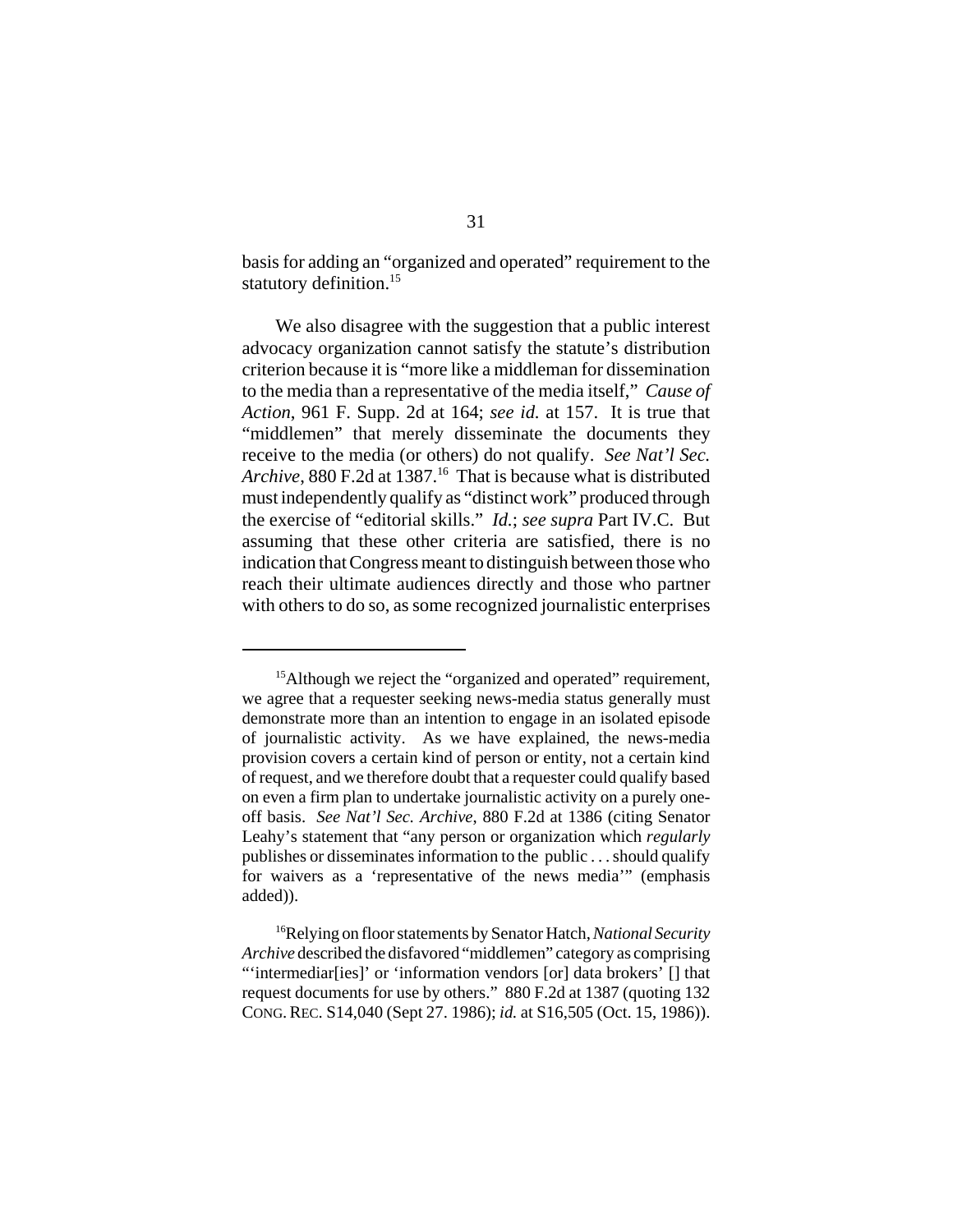basis for adding an "organized and operated" requirement to the statutory definition.<sup>15</sup>

We also disagree with the suggestion that a public interest advocacy organization cannot satisfy the statute's distribution criterion because it is "more like a middleman for dissemination to the media than a representative of the media itself," *Cause of Action*, 961 F. Supp. 2d at 164; *see id.* at 157. It is true that "middlemen" that merely disseminate the documents they receive to the media (or others) do not qualify. *See Nat'l Sec. Archive*, 880 F.2d at 1387.16 That is because what is distributed must independently qualify as "distinct work" produced through the exercise of "editorial skills." *Id.*; *see supra* Part IV.C. But assuming that these other criteria are satisfied, there is no indication that Congress meant to distinguish between those who reach their ultimate audiences directly and those who partner with others to do so, as some recognized journalistic enterprises

<sup>&</sup>lt;sup>15</sup>Although we reject the "organized and operated" requirement, we agree that a requester seeking news-media status generally must demonstrate more than an intention to engage in an isolated episode of journalistic activity. As we have explained, the news-media provision covers a certain kind of person or entity, not a certain kind of request, and we therefore doubt that a requester could qualify based on even a firm plan to undertake journalistic activity on a purely oneoff basis. *See Nat'l Sec. Archive*, 880 F.2d at 1386 (citing Senator Leahy's statement that "any person or organization which *regularly* publishes or disseminates information to the public . . . should qualify for waivers as a 'representative of the news media'" (emphasis added)).

<sup>16</sup>Relying on floor statements by Senator Hatch, *National Security Archive* described the disfavored "middlemen" category as comprising "'intermediar[ies]' or 'information vendors [or] data brokers' [] that request documents for use by others." 880 F.2d at 1387 (quoting 132 CONG.REC. S14,040 (Sept 27. 1986); *id.* at S16,505 (Oct. 15, 1986)).